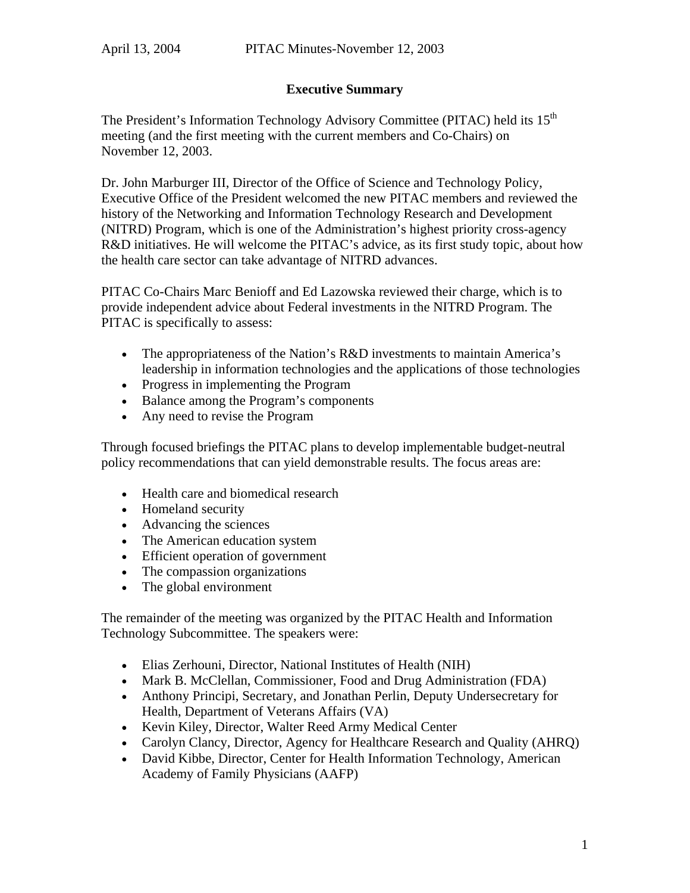# **Executive Summary**

The President's Information Technology Advisory Committee (PITAC) held its 15<sup>th</sup> meeting (and the first meeting with the current members and Co-Chairs) on November 12, 2003.

Dr. John Marburger III, Director of the Office of Science and Technology Policy, Executive Office of the President welcomed the new PITAC members and reviewed the history of the Networking and Information Technology Research and Development (NITRD) Program, which is one of the Administration's highest priority cross-agency R&D initiatives. He will welcome the PITAC's advice, as its first study topic, about how the health care sector can take advantage of NITRD advances.

PITAC Co-Chairs Marc Benioff and Ed Lazowska reviewed their charge, which is to provide independent advice about Federal investments in the NITRD Program. The PITAC is specifically to assess:

- The appropriateness of the Nation's R&D investments to maintain America's leadership in information technologies and the applications of those technologies
- Progress in implementing the Program
- Balance among the Program's components
- Any need to revise the Program

Through focused briefings the PITAC plans to develop implementable budget-neutral policy recommendations that can yield demonstrable results. The focus areas are:

- Health care and biomedical research
- Homeland security
- Advancing the sciences
- The American education system
- Efficient operation of government
- The compassion organizations
- The global environment

The remainder of the meeting was organized by the PITAC Health and Information Technology Subcommittee. The speakers were:

- Elias Zerhouni, Director, National Institutes of Health (NIH)
- Mark B. McClellan, Commissioner, Food and Drug Administration (FDA)
- Anthony Principi, Secretary, and Jonathan Perlin, Deputy Undersecretary for Health, Department of Veterans Affairs (VA)
- Kevin Kiley, Director, Walter Reed Army Medical Center
- Carolyn Clancy, Director, Agency for Healthcare Research and Quality (AHRQ)
- David Kibbe, Director, Center for Health Information Technology, American Academy of Family Physicians (AAFP)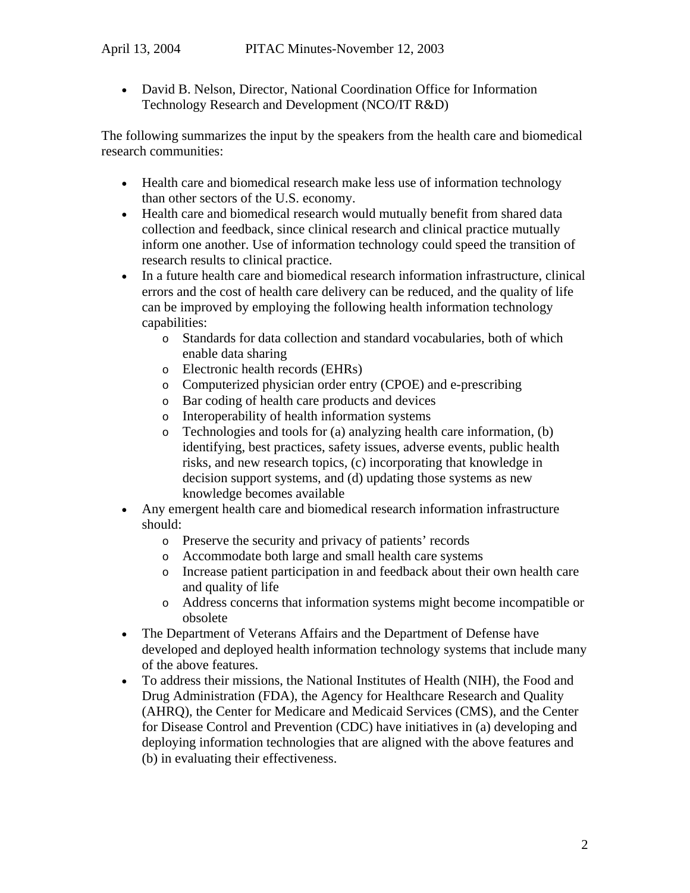• David B. Nelson, Director, National Coordination Office for Information Technology Research and Development (NCO/IT R&D)

The following summarizes the input by the speakers from the health care and biomedical research communities:

- Health care and biomedical research make less use of information technology than other sectors of the U.S. economy.
- Health care and biomedical research would mutually benefit from shared data collection and feedback, since clinical research and clinical practice mutually inform one another. Use of information technology could speed the transition of research results to clinical practice.
- In a future health care and biomedical research information infrastructure, clinical errors and the cost of health care delivery can be reduced, and the quality of life can be improved by employing the following health information technology capabilities:
	- o Standards for data collection and standard vocabularies, both of which enable data sharing
	- o Electronic health records (EHRs)
	- o Computerized physician order entry (CPOE) and e-prescribing
	- o Bar coding of health care products and devices
	- o Interoperability of health information systems
	- o Technologies and tools for (a) analyzing health care information, (b) identifying, best practices, safety issues, adverse events, public health risks, and new research topics, (c) incorporating that knowledge in decision support systems, and (d) updating those systems as new knowledge becomes available
- Any emergent health care and biomedical research information infrastructure should:
	- o Preserve the security and privacy of patients' records
	- o Accommodate both large and small health care systems
	- o Increase patient participation in and feedback about their own health care and quality of life
	- o Address concerns that information systems might become incompatible or obsolete
- The Department of Veterans Affairs and the Department of Defense have developed and deployed health information technology systems that include many of the above features.
- To address their missions, the National Institutes of Health (NIH), the Food and Drug Administration (FDA), the Agency for Healthcare Research and Quality (AHRQ), the Center for Medicare and Medicaid Services (CMS), and the Center for Disease Control and Prevention (CDC) have initiatives in (a) developing and deploying information technologies that are aligned with the above features and (b) in evaluating their effectiveness.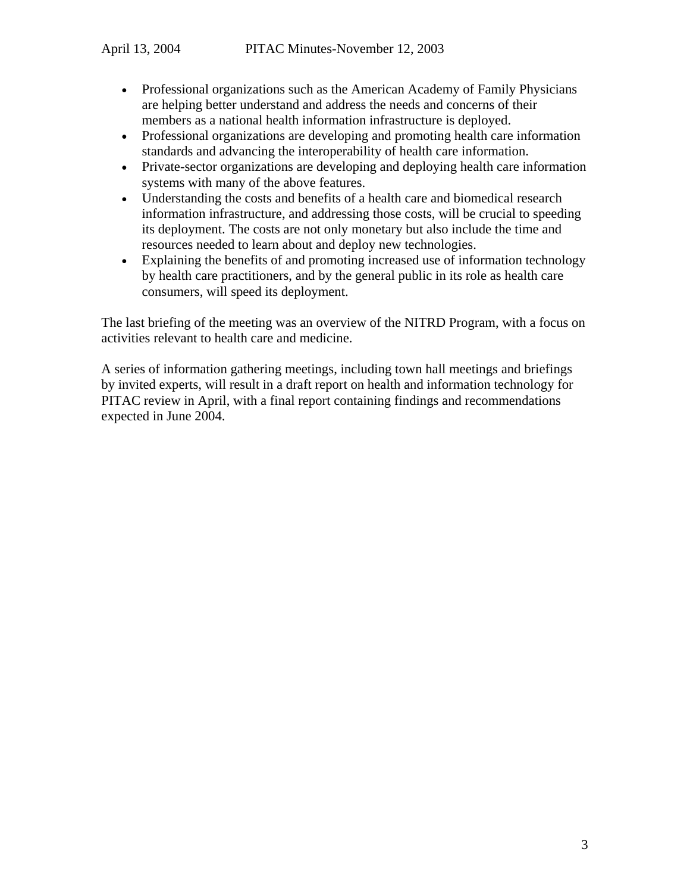- Professional organizations such as the American Academy of Family Physicians are helping better understand and address the needs and concerns of their members as a national health information infrastructure is deployed.
- Professional organizations are developing and promoting health care information standards and advancing the interoperability of health care information.
- Private-sector organizations are developing and deploying health care information systems with many of the above features.
- Understanding the costs and benefits of a health care and biomedical research information infrastructure, and addressing those costs, will be crucial to speeding its deployment. The costs are not only monetary but also include the time and resources needed to learn about and deploy new technologies.
- Explaining the benefits of and promoting increased use of information technology by health care practitioners, and by the general public in its role as health care consumers, will speed its deployment.

The last briefing of the meeting was an overview of the NITRD Program, with a focus on activities relevant to health care and medicine.

A series of information gathering meetings, including town hall meetings and briefings by invited experts, will result in a draft report on health and information technology for PITAC review in April, with a final report containing findings and recommendations expected in June 2004.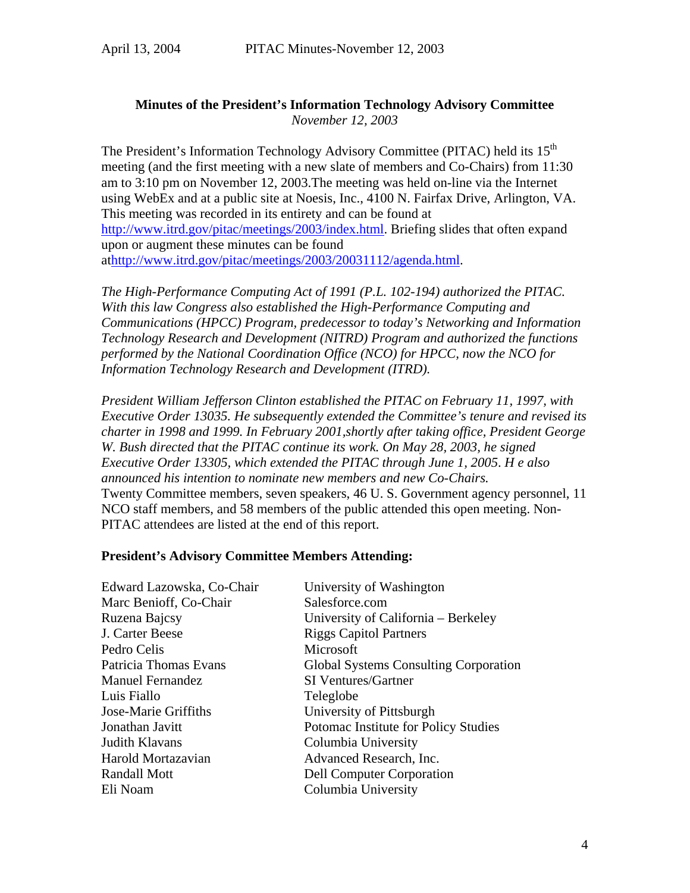# **Minutes of the President's Information Technology Advisory Committee** *November 12, 2003*

The President's Information Technology Advisory Committee (PITAC) held its  $15<sup>th</sup>$ meeting (and the first meeting with a new slate of members and Co-Chairs) from 11:30 am to 3:10 pm on November 12, 2003.The meeting was held on-line via the Internet using WebEx and at a public site at Noesis, Inc., 4100 N. Fairfax Drive, Arlington, VA. This meeting was recorded in its entirety and can be found at http://www.itrd.gov/pitac/meetings/2003/index.html. Briefing slides that often expand upon or augment these minutes can be found athttp://www.itrd.gov/pitac/meetings/2003/20031112/agenda.html.

*The High-Performance Computing Act of 1991 (P.L. 102-194) authorized the PITAC. With this law Congress also established the High-Performance Computing and Communications (HPCC) Program, predecessor to today's Networking and Information Technology Research and Development (NITRD) Program and authorized the functions performed by the National Coordination Office (NCO) for HPCC, now the NCO for Information Technology Research and Development (ITRD).* 

*President William Jefferson Clinton established the PITAC on February 11, 1997, with Executive Order 13035. He subsequently extended the Committee's tenure and revised its charter in 1998 and 1999. In February 2001,shortly after taking office, President George W. Bush directed that the PITAC continue its work. On May 28, 2003, he signed Executive Order 13305, which extended the PITAC through June 1, 2005*. *H e also announced his intention to nominate new members and new Co-Chairs.* Twenty Committee members, seven speakers, 46 U. S. Government agency personnel, 11 NCO staff members, and 58 members of the public attended this open meeting. Non-PITAC attendees are listed at the end of this report.

#### **President's Advisory Committee Members Attending:**

| Edward Lazowska, Co-Chair | University of Washington              |
|---------------------------|---------------------------------------|
| Marc Benioff, Co-Chair    | Salesforce.com                        |
| Ruzena Bajcsy             | University of California – Berkeley   |
| J. Carter Beese           | <b>Riggs Capitol Partners</b>         |
| Pedro Celis               | Microsoft                             |
| Patricia Thomas Evans     | Global Systems Consulting Corporation |
| <b>Manuel Fernandez</b>   | <b>SI</b> Ventures/Gartner            |
| Luis Fiallo               | Teleglobe                             |
| Jose-Marie Griffiths      | University of Pittsburgh              |
| Jonathan Javitt           | Potomac Institute for Policy Studies  |
| Judith Klavans            | Columbia University                   |
| Harold Mortazavian        | Advanced Research, Inc.               |
| Randall Mott              | <b>Dell Computer Corporation</b>      |
| Eli Noam                  | Columbia University                   |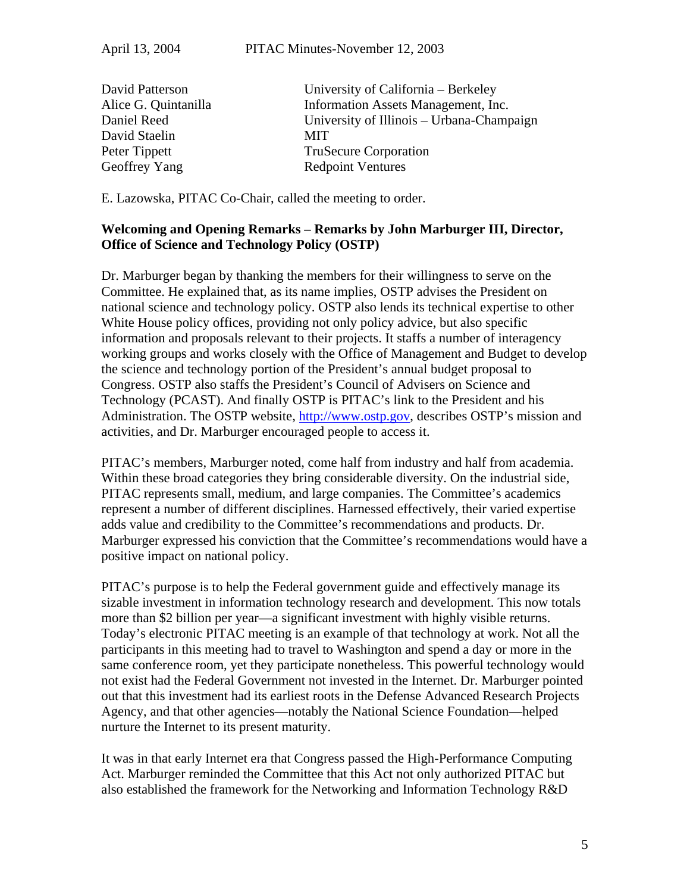| University of California – Berkeley       |
|-------------------------------------------|
| Information Assets Management, Inc.       |
| University of Illinois – Urbana-Champaign |
| <b>MIT</b>                                |
| <b>TruSecure Corporation</b>              |
| <b>Redpoint Ventures</b>                  |
|                                           |

E. Lazowska, PITAC Co-Chair, called the meeting to order.

# **Welcoming and Opening Remarks – Remarks by John Marburger III, Director, Office of Science and Technology Policy (OSTP)**

Dr. Marburger began by thanking the members for their willingness to serve on the Committee. He explained that, as its name implies, OSTP advises the President on national science and technology policy. OSTP also lends its technical expertise to other White House policy offices, providing not only policy advice, but also specific information and proposals relevant to their projects. It staffs a number of interagency working groups and works closely with the Office of Management and Budget to develop the science and technology portion of the President's annual budget proposal to Congress. OSTP also staffs the President's Council of Advisers on Science and Technology (PCAST). And finally OSTP is PITAC's link to the President and his Administration. The OSTP website, http://www.ostp.gov, describes OSTP's mission and activities, and Dr. Marburger encouraged people to access it.

PITAC's members, Marburger noted, come half from industry and half from academia. Within these broad categories they bring considerable diversity. On the industrial side, PITAC represents small, medium, and large companies. The Committee's academics represent a number of different disciplines. Harnessed effectively, their varied expertise adds value and credibility to the Committee's recommendations and products. Dr. Marburger expressed his conviction that the Committee's recommendations would have a positive impact on national policy.

PITAC's purpose is to help the Federal government guide and effectively manage its sizable investment in information technology research and development. This now totals more than \$2 billion per year—a significant investment with highly visible returns. Today's electronic PITAC meeting is an example of that technology at work. Not all the participants in this meeting had to travel to Washington and spend a day or more in the same conference room, yet they participate nonetheless. This powerful technology would not exist had the Federal Government not invested in the Internet. Dr. Marburger pointed out that this investment had its earliest roots in the Defense Advanced Research Projects Agency, and that other agencies—notably the National Science Foundation—helped nurture the Internet to its present maturity.

It was in that early Internet era that Congress passed the High-Performance Computing Act. Marburger reminded the Committee that this Act not only authorized PITAC but also established the framework for the Networking and Information Technology R&D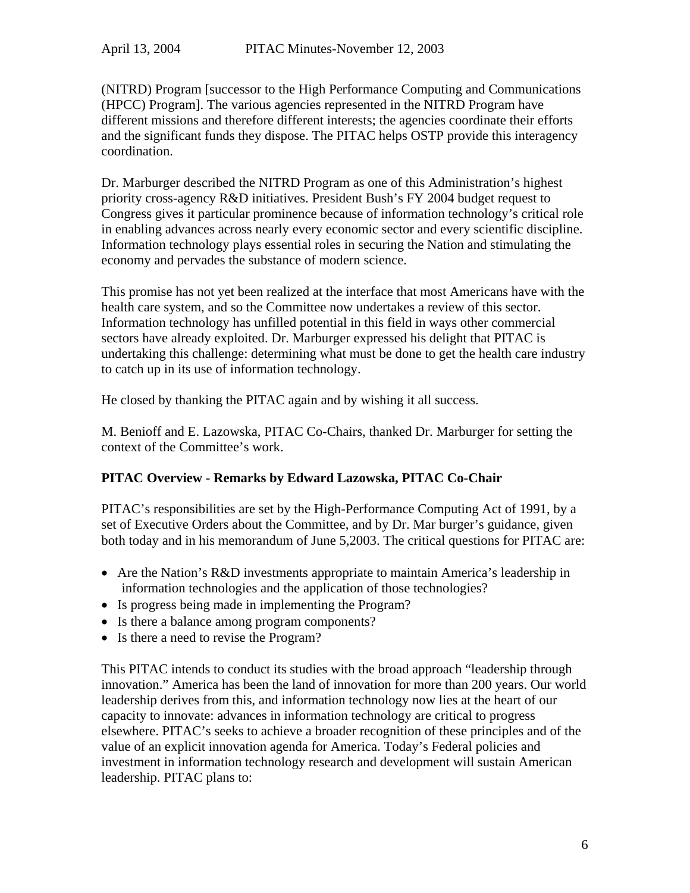(NITRD) Program [successor to the High Performance Computing and Communications (HPCC) Program]. The various agencies represented in the NITRD Program have different missions and therefore different interests; the agencies coordinate their efforts and the significant funds they dispose. The PITAC helps OSTP provide this interagency coordination.

Dr. Marburger described the NITRD Program as one of this Administration's highest priority cross-agency R&D initiatives. President Bush's FY 2004 budget request to Congress gives it particular prominence because of information technology's critical role in enabling advances across nearly every economic sector and every scientific discipline. Information technology plays essential roles in securing the Nation and stimulating the economy and pervades the substance of modern science.

This promise has not yet been realized at the interface that most Americans have with the health care system, and so the Committee now undertakes a review of this sector. Information technology has unfilled potential in this field in ways other commercial sectors have already exploited. Dr. Marburger expressed his delight that PITAC is undertaking this challenge: determining what must be done to get the health care industry to catch up in its use of information technology.

He closed by thanking the PITAC again and by wishing it all success.

M. Benioff and E. Lazowska, PITAC Co-Chairs, thanked Dr. Marburger for setting the context of the Committee's work.

# **PITAC Overview - Remarks by Edward Lazowska, PITAC Co-Chair**

PITAC's responsibilities are set by the High-Performance Computing Act of 1991, by a set of Executive Orders about the Committee, and by Dr. Mar burger's guidance, given both today and in his memorandum of June 5,2003. The critical questions for PITAC are:

- Are the Nation's R&D investments appropriate to maintain America's leadership in information technologies and the application of those technologies?
- Is progress being made in implementing the Program?
- Is there a balance among program components?
- Is there a need to revise the Program?

This PITAC intends to conduct its studies with the broad approach "leadership through innovation." America has been the land of innovation for more than 200 years. Our world leadership derives from this, and information technology now lies at the heart of our capacity to innovate: advances in information technology are critical to progress elsewhere. PITAC's seeks to achieve a broader recognition of these principles and of the value of an explicit innovation agenda for America. Today's Federal policies and investment in information technology research and development will sustain American leadership. PITAC plans to: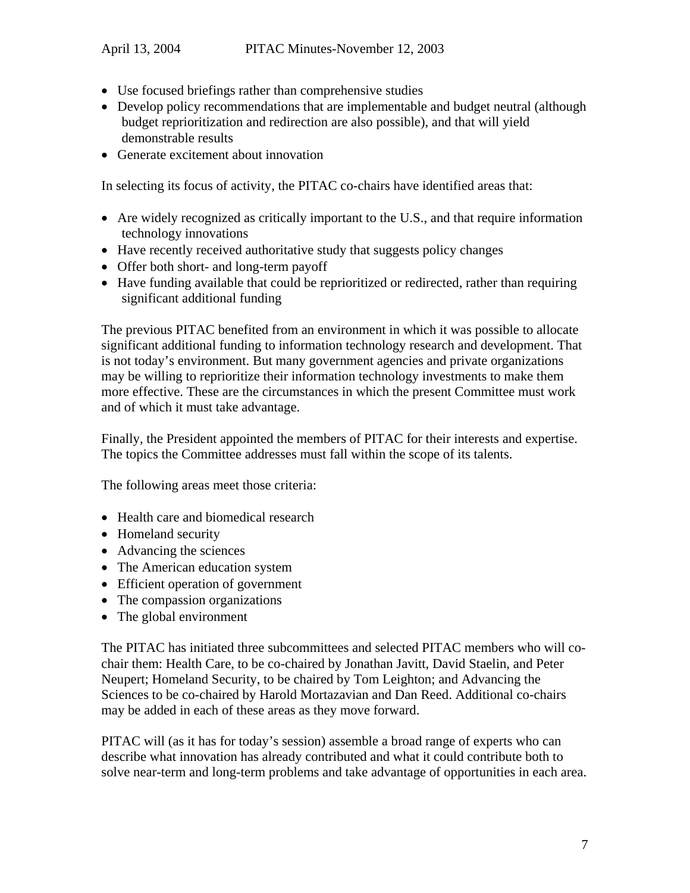- Use focused briefings rather than comprehensive studies
- Develop policy recommendations that are implementable and budget neutral (although budget reprioritization and redirection are also possible), and that will yield demonstrable results
- Generate excitement about innovation

In selecting its focus of activity, the PITAC co-chairs have identified areas that:

- Are widely recognized as critically important to the U.S., and that require information technology innovations
- Have recently received authoritative study that suggests policy changes
- Offer both short- and long-term payoff
- Have funding available that could be reprioritized or redirected, rather than requiring significant additional funding

The previous PITAC benefited from an environment in which it was possible to allocate significant additional funding to information technology research and development. That is not today's environment. But many government agencies and private organizations may be willing to reprioritize their information technology investments to make them more effective. These are the circumstances in which the present Committee must work and of which it must take advantage.

Finally, the President appointed the members of PITAC for their interests and expertise. The topics the Committee addresses must fall within the scope of its talents.

The following areas meet those criteria:

- Health care and biomedical research
- Homeland security
- Advancing the sciences
- The American education system
- Efficient operation of government
- The compassion organizations
- The global environment

The PITAC has initiated three subcommittees and selected PITAC members who will cochair them: Health Care, to be co-chaired by Jonathan Javitt, David Staelin, and Peter Neupert; Homeland Security, to be chaired by Tom Leighton; and Advancing the Sciences to be co-chaired by Harold Mortazavian and Dan Reed. Additional co-chairs may be added in each of these areas as they move forward.

PITAC will (as it has for today's session) assemble a broad range of experts who can describe what innovation has already contributed and what it could contribute both to solve near-term and long-term problems and take advantage of opportunities in each area.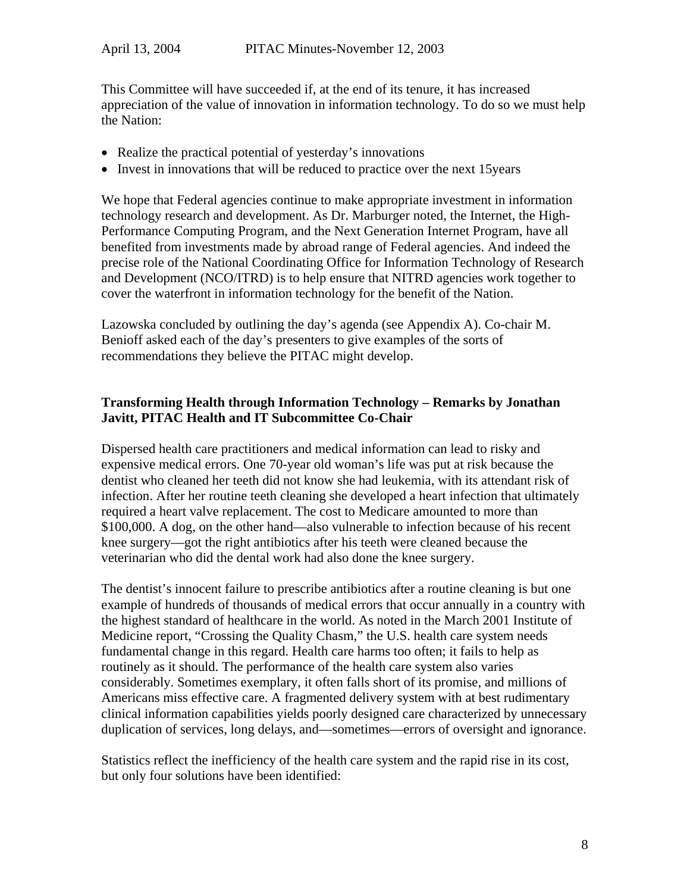This Committee will have succeeded if, at the end of its tenure, it has increased appreciation of the value of innovation in information technology. To do so we must help the Nation:

- Realize the practical potential of yesterday's innovations
- Invest in innovations that will be reduced to practice over the next 15 years

We hope that Federal agencies continue to make appropriate investment in information technology research and development. As Dr. Marburger noted, the Internet, the High-Performance Computing Program, and the Next Generation Internet Program, have all benefited from investments made by abroad range of Federal agencies. And indeed the precise role of the National Coordinating Office for Information Technology of Research and Development (NCO/ITRD) is to help ensure that NITRD agencies work together to cover the waterfront in information technology for the benefit of the Nation.

Lazowska concluded by outlining the day's agenda (see Appendix A). Co-chair M. Benioff asked each of the day's presenters to give examples of the sorts of recommendations they believe the PITAC might develop.

# **Transforming Health through Information Technology – Remarks by Jonathan Javitt, PITAC Health and IT Subcommittee Co-Chair**

Dispersed health care practitioners and medical information can lead to risky and expensive medical errors. One 70-year old woman's life was put at risk because the dentist who cleaned her teeth did not know she had leukemia, with its attendant risk of infection. After her routine teeth cleaning she developed a heart infection that ultimately required a heart valve replacement. The cost to Medicare amounted to more than \$100,000. A dog, on the other hand—also vulnerable to infection because of his recent knee surgery—got the right antibiotics after his teeth were cleaned because the veterinarian who did the dental work had also done the knee surgery.

The dentist's innocent failure to prescribe antibiotics after a routine cleaning is but one example of hundreds of thousands of medical errors that occur annually in a country with the highest standard of healthcare in the world. As noted in the March 2001 Institute of Medicine report, "Crossing the Quality Chasm," the U.S. health care system needs fundamental change in this regard. Health care harms too often; it fails to help as routinely as it should. The performance of the health care system also varies considerably. Sometimes exemplary, it often falls short of its promise, and millions of Americans miss effective care. A fragmented delivery system with at best rudimentary clinical information capabilities yields poorly designed care characterized by unnecessary duplication of services, long delays, and—sometimes—errors of oversight and ignorance.

Statistics reflect the inefficiency of the health care system and the rapid rise in its cost, but only four solutions have been identified: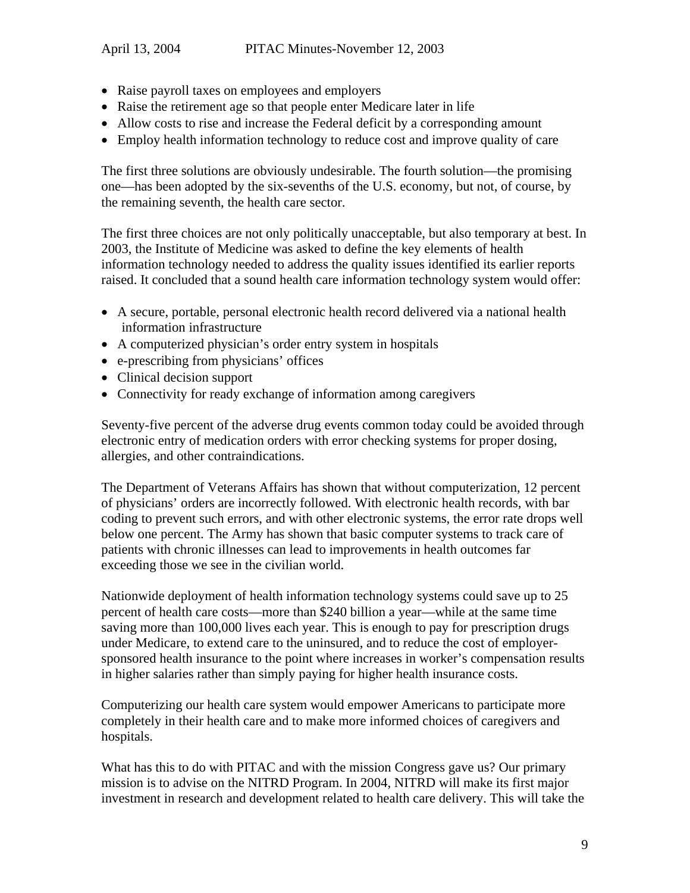- Raise payroll taxes on employees and employers
- Raise the retirement age so that people enter Medicare later in life
- Allow costs to rise and increase the Federal deficit by a corresponding amount
- Employ health information technology to reduce cost and improve quality of care

The first three solutions are obviously undesirable. The fourth solution—the promising one—has been adopted by the six-sevenths of the U.S. economy, but not, of course, by the remaining seventh, the health care sector.

The first three choices are not only politically unacceptable, but also temporary at best. In 2003, the Institute of Medicine was asked to define the key elements of health information technology needed to address the quality issues identified its earlier reports raised. It concluded that a sound health care information technology system would offer:

- A secure, portable, personal electronic health record delivered via a national health information infrastructure
- A computerized physician's order entry system in hospitals
- e-prescribing from physicians' offices
- Clinical decision support
- Connectivity for ready exchange of information among caregivers

Seventy-five percent of the adverse drug events common today could be avoided through electronic entry of medication orders with error checking systems for proper dosing, allergies, and other contraindications.

The Department of Veterans Affairs has shown that without computerization, 12 percent of physicians' orders are incorrectly followed. With electronic health records, with bar coding to prevent such errors, and with other electronic systems, the error rate drops well below one percent. The Army has shown that basic computer systems to track care of patients with chronic illnesses can lead to improvements in health outcomes far exceeding those we see in the civilian world.

Nationwide deployment of health information technology systems could save up to 25 percent of health care costs—more than \$240 billion a year—while at the same time saving more than 100,000 lives each year. This is enough to pay for prescription drugs under Medicare, to extend care to the uninsured, and to reduce the cost of employersponsored health insurance to the point where increases in worker's compensation results in higher salaries rather than simply paying for higher health insurance costs.

Computerizing our health care system would empower Americans to participate more completely in their health care and to make more informed choices of caregivers and hospitals.

What has this to do with PITAC and with the mission Congress gave us? Our primary mission is to advise on the NITRD Program. In 2004, NITRD will make its first major investment in research and development related to health care delivery. This will take the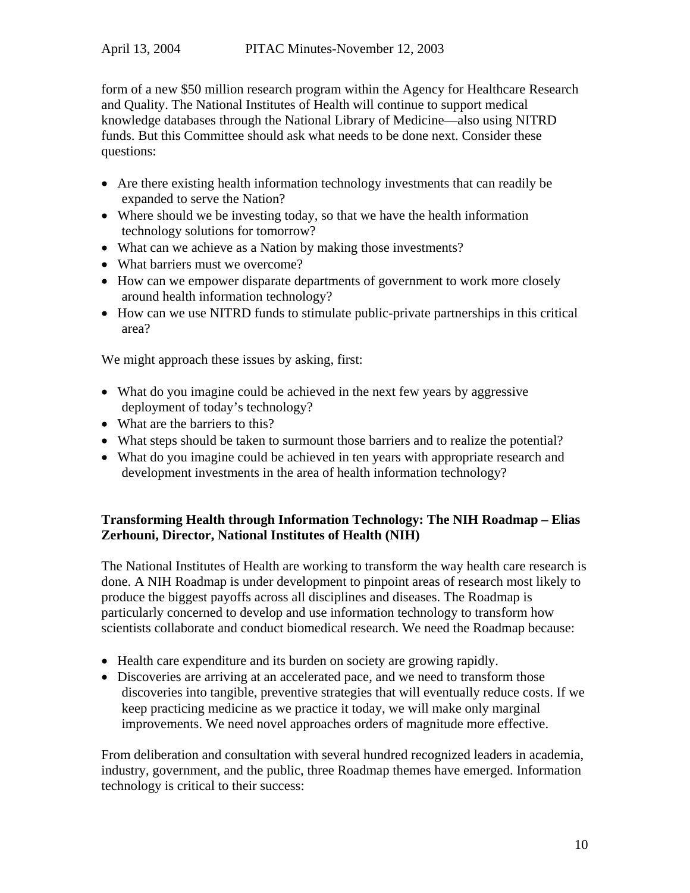form of a new \$50 million research program within the Agency for Healthcare Research and Quality. The National Institutes of Health will continue to support medical knowledge databases through the National Library of Medicine—also using NITRD funds. But this Committee should ask what needs to be done next. Consider these questions:

- Are there existing health information technology investments that can readily be expanded to serve the Nation?
- Where should we be investing today, so that we have the health information technology solutions for tomorrow?
- What can we achieve as a Nation by making those investments?
- What barriers must we overcome?
- How can we empower disparate departments of government to work more closely around health information technology?
- How can we use NITRD funds to stimulate public-private partnerships in this critical area?

We might approach these issues by asking, first:

- What do you imagine could be achieved in the next few years by aggressive deployment of today's technology?
- What are the barriers to this?
- What steps should be taken to surmount those barriers and to realize the potential?
- What do you imagine could be achieved in ten years with appropriate research and development investments in the area of health information technology?

# **Transforming Health through Information Technology: The NIH Roadmap – Elias Zerhouni, Director, National Institutes of Health (NIH)**

The National Institutes of Health are working to transform the way health care research is done. A NIH Roadmap is under development to pinpoint areas of research most likely to produce the biggest payoffs across all disciplines and diseases. The Roadmap is particularly concerned to develop and use information technology to transform how scientists collaborate and conduct biomedical research. We need the Roadmap because:

- Health care expenditure and its burden on society are growing rapidly.
- Discoveries are arriving at an accelerated pace, and we need to transform those discoveries into tangible, preventive strategies that will eventually reduce costs. If we keep practicing medicine as we practice it today, we will make only marginal improvements. We need novel approaches orders of magnitude more effective.

From deliberation and consultation with several hundred recognized leaders in academia, industry, government, and the public, three Roadmap themes have emerged. Information technology is critical to their success: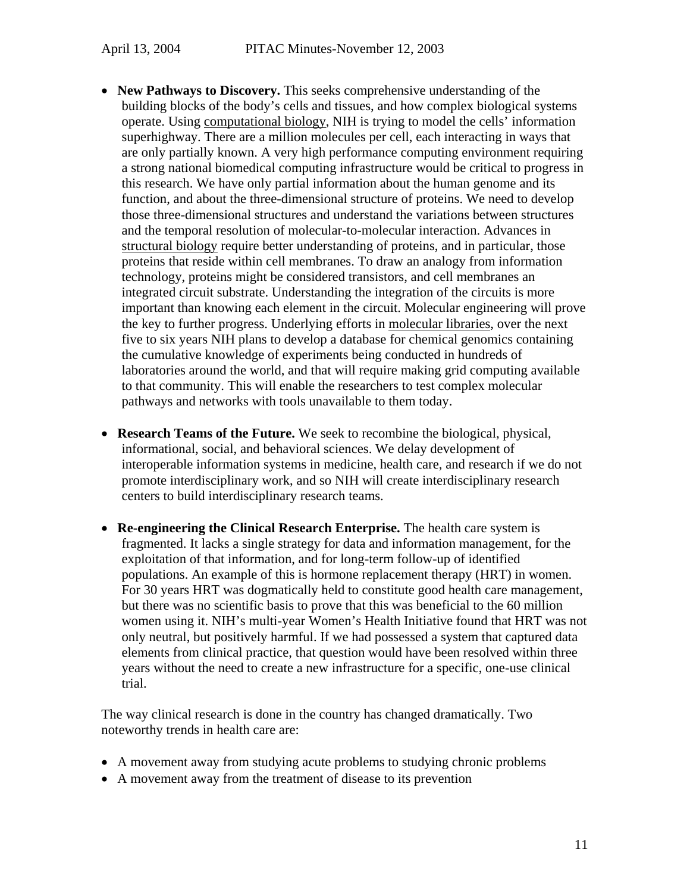- **New Pathways to Discovery.** This seeks comprehensive understanding of the building blocks of the body's cells and tissues, and how complex biological systems operate. Using computational biology, NIH is trying to model the cells' information superhighway. There are a million molecules per cell, each interacting in ways that are only partially known. A very high performance computing environment requiring a strong national biomedical computing infrastructure would be critical to progress in this research. We have only partial information about the human genome and its function, and about the three-dimensional structure of proteins. We need to develop those three-dimensional structures and understand the variations between structures and the temporal resolution of molecular-to-molecular interaction. Advances in structural biology require better understanding of proteins, and in particular, those proteins that reside within cell membranes. To draw an analogy from information technology, proteins might be considered transistors, and cell membranes an integrated circuit substrate. Understanding the integration of the circuits is more important than knowing each element in the circuit. Molecular engineering will prove the key to further progress. Underlying efforts in molecular libraries, over the next five to six years NIH plans to develop a database for chemical genomics containing the cumulative knowledge of experiments being conducted in hundreds of laboratories around the world, and that will require making grid computing available to that community. This will enable the researchers to test complex molecular pathways and networks with tools unavailable to them today.
- **Research Teams of the Future.** We seek to recombine the biological, physical, informational, social, and behavioral sciences. We delay development of interoperable information systems in medicine, health care, and research if we do not promote interdisciplinary work, and so NIH will create interdisciplinary research centers to build interdisciplinary research teams.
- **Re-engineering the Clinical Research Enterprise.** The health care system is fragmented. It lacks a single strategy for data and information management, for the exploitation of that information, and for long-term follow-up of identified populations. An example of this is hormone replacement therapy (HRT) in women. For 30 years HRT was dogmatically held to constitute good health care management, but there was no scientific basis to prove that this was beneficial to the 60 million women using it. NIH's multi-year Women's Health Initiative found that HRT was not only neutral, but positively harmful. If we had possessed a system that captured data elements from clinical practice, that question would have been resolved within three years without the need to create a new infrastructure for a specific, one-use clinical trial.

The way clinical research is done in the country has changed dramatically. Two noteworthy trends in health care are:

- A movement away from studying acute problems to studying chronic problems
- A movement away from the treatment of disease to its prevention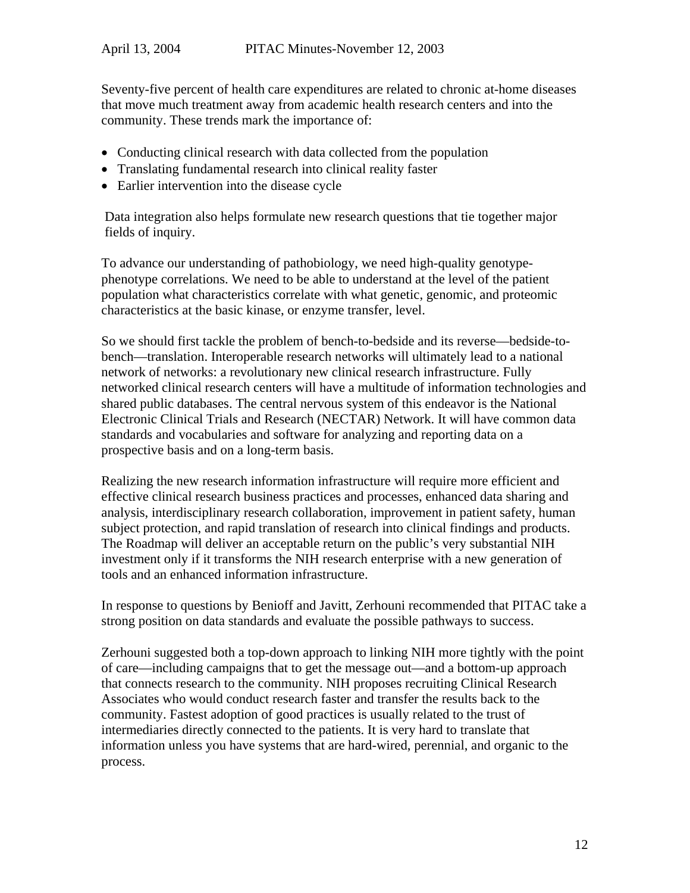Seventy-five percent of health care expenditures are related to chronic at-home diseases that move much treatment away from academic health research centers and into the community. These trends mark the importance of:

- Conducting clinical research with data collected from the population
- Translating fundamental research into clinical reality faster
- Earlier intervention into the disease cycle

Data integration also helps formulate new research questions that tie together major fields of inquiry.

To advance our understanding of pathobiology, we need high-quality genotypephenotype correlations. We need to be able to understand at the level of the patient population what characteristics correlate with what genetic, genomic, and proteomic characteristics at the basic kinase, or enzyme transfer, level.

So we should first tackle the problem of bench-to-bedside and its reverse—bedside-tobench—translation. Interoperable research networks will ultimately lead to a national network of networks: a revolutionary new clinical research infrastructure. Fully networked clinical research centers will have a multitude of information technologies and shared public databases. The central nervous system of this endeavor is the National Electronic Clinical Trials and Research (NECTAR) Network. It will have common data standards and vocabularies and software for analyzing and reporting data on a prospective basis and on a long-term basis.

Realizing the new research information infrastructure will require more efficient and effective clinical research business practices and processes, enhanced data sharing and analysis, interdisciplinary research collaboration, improvement in patient safety, human subject protection, and rapid translation of research into clinical findings and products. The Roadmap will deliver an acceptable return on the public's very substantial NIH investment only if it transforms the NIH research enterprise with a new generation of tools and an enhanced information infrastructure.

In response to questions by Benioff and Javitt, Zerhouni recommended that PITAC take a strong position on data standards and evaluate the possible pathways to success.

Zerhouni suggested both a top-down approach to linking NIH more tightly with the point of care—including campaigns that to get the message out—and a bottom-up approach that connects research to the community. NIH proposes recruiting Clinical Research Associates who would conduct research faster and transfer the results back to the community. Fastest adoption of good practices is usually related to the trust of intermediaries directly connected to the patients. It is very hard to translate that information unless you have systems that are hard-wired, perennial, and organic to the process.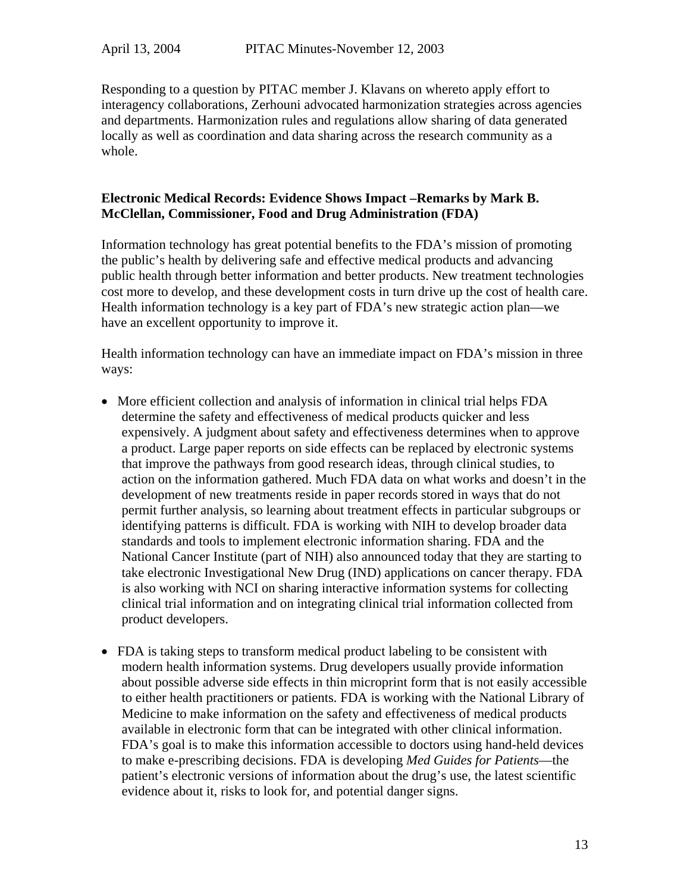Responding to a question by PITAC member J. Klavans on whereto apply effort to interagency collaborations, Zerhouni advocated harmonization strategies across agencies and departments. Harmonization rules and regulations allow sharing of data generated locally as well as coordination and data sharing across the research community as a whole.

### **Electronic Medical Records: Evidence Shows Impact –Remarks by Mark B. McClellan, Commissioner, Food and Drug Administration (FDA)**

Information technology has great potential benefits to the FDA's mission of promoting the public's health by delivering safe and effective medical products and advancing public health through better information and better products. New treatment technologies cost more to develop, and these development costs in turn drive up the cost of health care. Health information technology is a key part of FDA's new strategic action plan—we have an excellent opportunity to improve it.

Health information technology can have an immediate impact on FDA's mission in three ways:

- More efficient collection and analysis of information in clinical trial helps FDA determine the safety and effectiveness of medical products quicker and less expensively. A judgment about safety and effectiveness determines when to approve a product. Large paper reports on side effects can be replaced by electronic systems that improve the pathways from good research ideas, through clinical studies, to action on the information gathered. Much FDA data on what works and doesn't in the development of new treatments reside in paper records stored in ways that do not permit further analysis, so learning about treatment effects in particular subgroups or identifying patterns is difficult. FDA is working with NIH to develop broader data standards and tools to implement electronic information sharing. FDA and the National Cancer Institute (part of NIH) also announced today that they are starting to take electronic Investigational New Drug (IND) applications on cancer therapy. FDA is also working with NCI on sharing interactive information systems for collecting clinical trial information and on integrating clinical trial information collected from product developers.
- FDA is taking steps to transform medical product labeling to be consistent with modern health information systems. Drug developers usually provide information about possible adverse side effects in thin microprint form that is not easily accessible to either health practitioners or patients. FDA is working with the National Library of Medicine to make information on the safety and effectiveness of medical products available in electronic form that can be integrated with other clinical information. FDA's goal is to make this information accessible to doctors using hand-held devices to make e-prescribing decisions. FDA is developing *Med Guides for Patients*—the patient's electronic versions of information about the drug's use, the latest scientific evidence about it, risks to look for, and potential danger signs.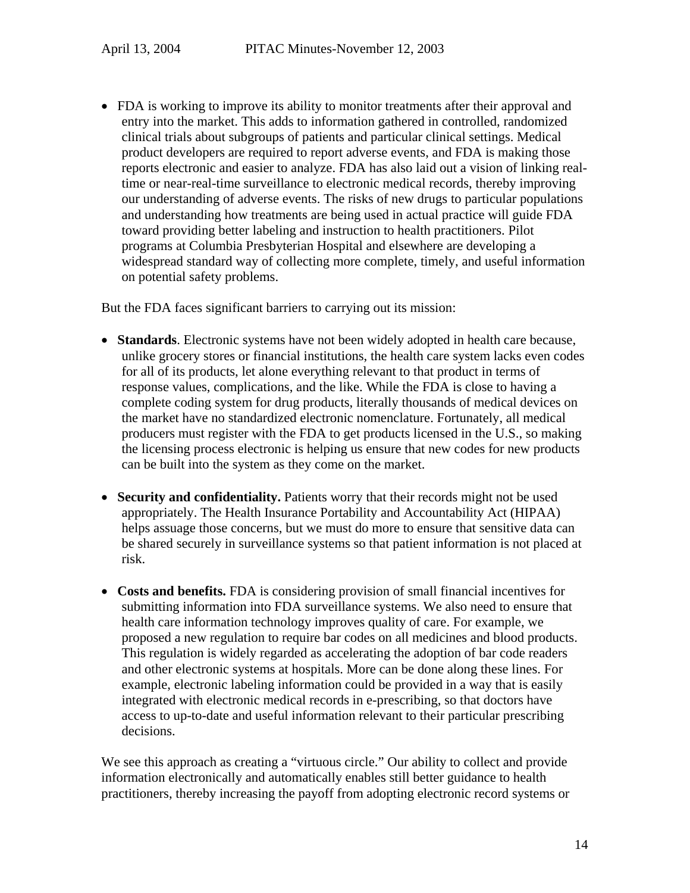• FDA is working to improve its ability to monitor treatments after their approval and entry into the market. This adds to information gathered in controlled, randomized clinical trials about subgroups of patients and particular clinical settings. Medical product developers are required to report adverse events, and FDA is making those reports electronic and easier to analyze. FDA has also laid out a vision of linking realtime or near-real-time surveillance to electronic medical records, thereby improving our understanding of adverse events. The risks of new drugs to particular populations and understanding how treatments are being used in actual practice will guide FDA toward providing better labeling and instruction to health practitioners. Pilot programs at Columbia Presbyterian Hospital and elsewhere are developing a widespread standard way of collecting more complete, timely, and useful information on potential safety problems.

But the FDA faces significant barriers to carrying out its mission:

- **Standards**. Electronic systems have not been widely adopted in health care because, unlike grocery stores or financial institutions, the health care system lacks even codes for all of its products, let alone everything relevant to that product in terms of response values, complications, and the like. While the FDA is close to having a complete coding system for drug products, literally thousands of medical devices on the market have no standardized electronic nomenclature. Fortunately, all medical producers must register with the FDA to get products licensed in the U.S., so making the licensing process electronic is helping us ensure that new codes for new products can be built into the system as they come on the market.
- **Security and confidentiality.** Patients worry that their records might not be used appropriately. The Health Insurance Portability and Accountability Act (HIPAA) helps assuage those concerns, but we must do more to ensure that sensitive data can be shared securely in surveillance systems so that patient information is not placed at risk.
- **Costs and benefits.** FDA is considering provision of small financial incentives for submitting information into FDA surveillance systems. We also need to ensure that health care information technology improves quality of care. For example, we proposed a new regulation to require bar codes on all medicines and blood products. This regulation is widely regarded as accelerating the adoption of bar code readers and other electronic systems at hospitals. More can be done along these lines. For example, electronic labeling information could be provided in a way that is easily integrated with electronic medical records in e-prescribing, so that doctors have access to up-to-date and useful information relevant to their particular prescribing decisions.

We see this approach as creating a "virtuous circle." Our ability to collect and provide information electronically and automatically enables still better guidance to health practitioners, thereby increasing the payoff from adopting electronic record systems or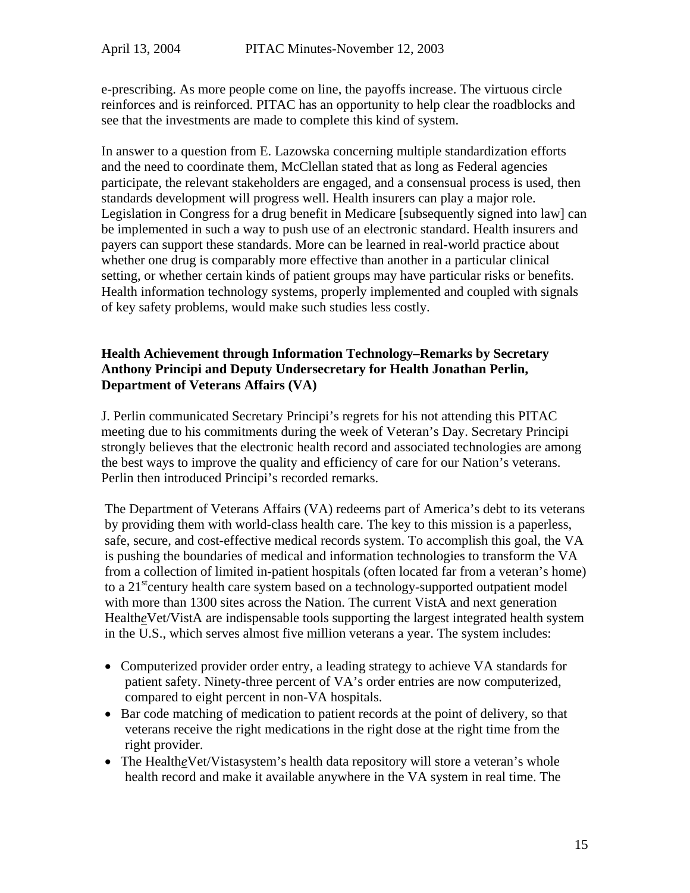e-prescribing. As more people come on line, the payoffs increase. The virtuous circle reinforces and is reinforced. PITAC has an opportunity to help clear the roadblocks and see that the investments are made to complete this kind of system.

In answer to a question from E. Lazowska concerning multiple standardization efforts and the need to coordinate them, McClellan stated that as long as Federal agencies participate, the relevant stakeholders are engaged, and a consensual process is used, then standards development will progress well. Health insurers can play a major role. Legislation in Congress for a drug benefit in Medicare [subsequently signed into law] can be implemented in such a way to push use of an electronic standard. Health insurers and payers can support these standards. More can be learned in real-world practice about whether one drug is comparably more effective than another in a particular clinical setting, or whether certain kinds of patient groups may have particular risks or benefits. Health information technology systems, properly implemented and coupled with signals of key safety problems, would make such studies less costly.

### **Health Achievement through Information Technology–Remarks by Secretary Anthony Principi and Deputy Undersecretary for Health Jonathan Perlin, Department of Veterans Affairs (VA)**

J. Perlin communicated Secretary Principi's regrets for his not attending this PITAC meeting due to his commitments during the week of Veteran's Day. Secretary Principi strongly believes that the electronic health record and associated technologies are among the best ways to improve the quality and efficiency of care for our Nation's veterans. Perlin then introduced Principi's recorded remarks.

The Department of Veterans Affairs (VA) redeems part of America's debt to its veterans by providing them with world-class health care. The key to this mission is a paperless, safe, secure, and cost-effective medical records system. To accomplish this goal, the VA is pushing the boundaries of medical and information technologies to transform the VA from a collection of limited in-patient hospitals (often located far from a veteran's home) to a 21<sup>st</sup>century health care system based on a technology-supported outpatient model with more than 1300 sites across the Nation. The current VistA and next generation Health*e*Vet/VistA are indispensable tools supporting the largest integrated health system in the U.S., which serves almost five million veterans a year. The system includes:

- Computerized provider order entry, a leading strategy to achieve VA standards for patient safety. Ninety-three percent of VA's order entries are now computerized, compared to eight percent in non-VA hospitals.
- Bar code matching of medication to patient records at the point of delivery, so that veterans receive the right medications in the right dose at the right time from the right provider.
- The HealtheVet/Vistasystem's health data repository will store a veteran's whole health record and make it available anywhere in the VA system in real time. The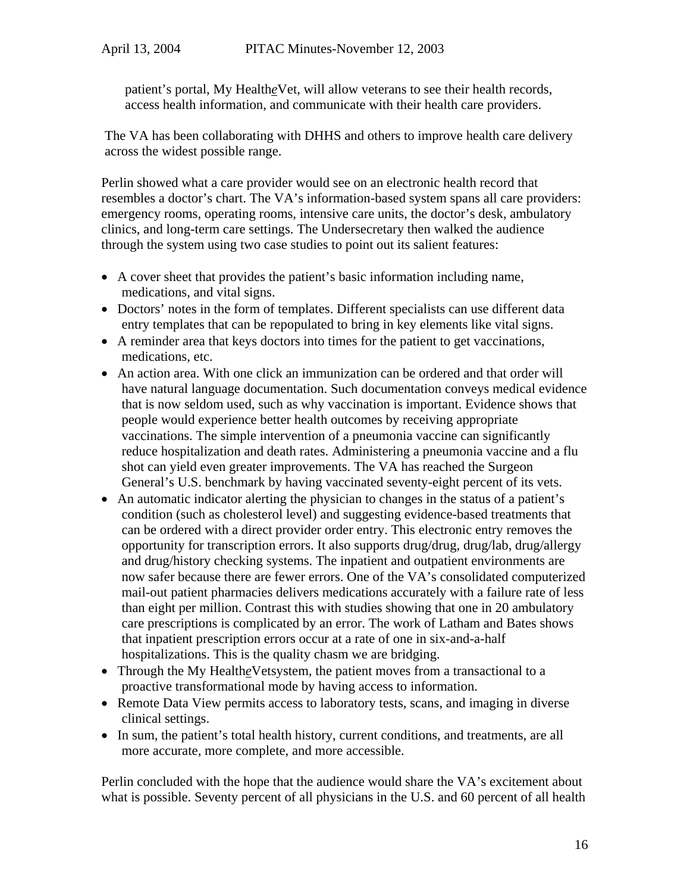patient's portal, My Health*e*Vet, will allow veterans to see their health records, access health information, and communicate with their health care providers.

The VA has been collaborating with DHHS and others to improve health care delivery across the widest possible range.

Perlin showed what a care provider would see on an electronic health record that resembles a doctor's chart. The VA's information-based system spans all care providers: emergency rooms, operating rooms, intensive care units, the doctor's desk, ambulatory clinics, and long-term care settings. The Undersecretary then walked the audience through the system using two case studies to point out its salient features:

- A cover sheet that provides the patient's basic information including name, medications, and vital signs.
- Doctors' notes in the form of templates. Different specialists can use different data entry templates that can be repopulated to bring in key elements like vital signs.
- A reminder area that keys doctors into times for the patient to get vaccinations, medications, etc.
- An action area. With one click an immunization can be ordered and that order will have natural language documentation. Such documentation conveys medical evidence that is now seldom used, such as why vaccination is important. Evidence shows that people would experience better health outcomes by receiving appropriate vaccinations. The simple intervention of a pneumonia vaccine can significantly reduce hospitalization and death rates. Administering a pneumonia vaccine and a flu shot can yield even greater improvements. The VA has reached the Surgeon General's U.S. benchmark by having vaccinated seventy-eight percent of its vets.
- An automatic indicator alerting the physician to changes in the status of a patient's condition (such as cholesterol level) and suggesting evidence-based treatments that can be ordered with a direct provider order entry. This electronic entry removes the opportunity for transcription errors. It also supports drug/drug, drug/lab, drug/allergy and drug/history checking systems. The inpatient and outpatient environments are now safer because there are fewer errors. One of the VA's consolidated computerized mail-out patient pharmacies delivers medications accurately with a failure rate of less than eight per million. Contrast this with studies showing that one in 20 ambulatory care prescriptions is complicated by an error. The work of Latham and Bates shows that inpatient prescription errors occur at a rate of one in six-and-a-half hospitalizations. This is the quality chasm we are bridging.
- Through the My Health*e*Vetsystem, the patient moves from a transactional to a proactive transformational mode by having access to information.
- Remote Data View permits access to laboratory tests, scans, and imaging in diverse clinical settings.
- In sum, the patient's total health history, current conditions, and treatments, are all more accurate, more complete, and more accessible.

Perlin concluded with the hope that the audience would share the VA's excitement about what is possible. Seventy percent of all physicians in the U.S. and 60 percent of all health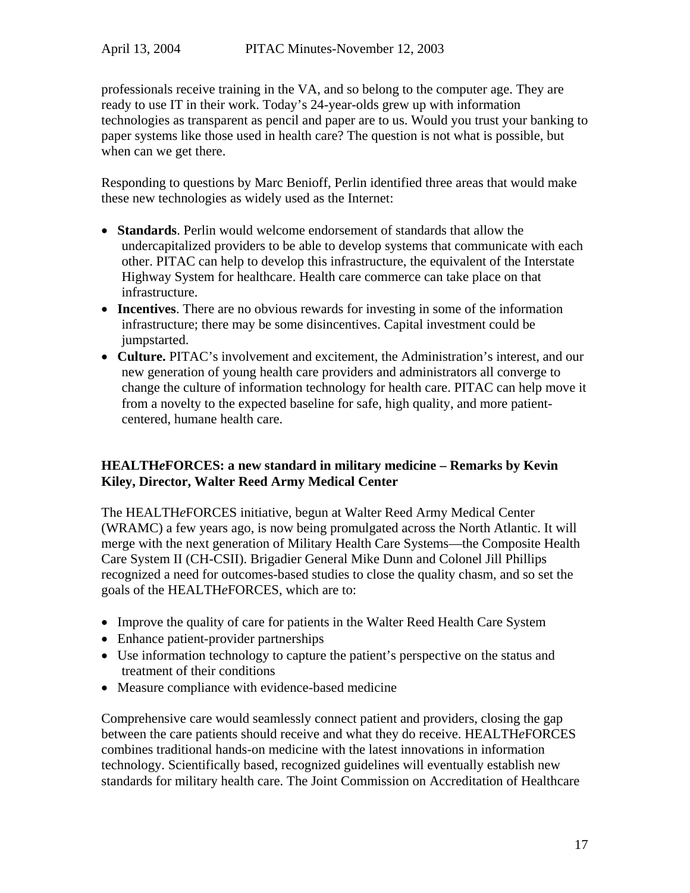professionals receive training in the VA, and so belong to the computer age. They are ready to use IT in their work. Today's 24-year-olds grew up with information technologies as transparent as pencil and paper are to us. Would you trust your banking to paper systems like those used in health care? The question is not what is possible, but when can we get there.

Responding to questions by Marc Benioff, Perlin identified three areas that would make these new technologies as widely used as the Internet:

- **Standards**. Perlin would welcome endorsement of standards that allow the undercapitalized providers to be able to develop systems that communicate with each other. PITAC can help to develop this infrastructure, the equivalent of the Interstate Highway System for healthcare. Health care commerce can take place on that infrastructure.
- **Incentives**. There are no obvious rewards for investing in some of the information infrastructure; there may be some disincentives. Capital investment could be jumpstarted.
- **Culture.** PITAC's involvement and excitement, the Administration's interest, and our new generation of young health care providers and administrators all converge to change the culture of information technology for health care. PITAC can help move it from a novelty to the expected baseline for safe, high quality, and more patientcentered, humane health care.

# **HEALTH***e***FORCES: a new standard in military medicine – Remarks by Kevin Kiley, Director, Walter Reed Army Medical Center**

The HEALTH*e*FORCES initiative, begun at Walter Reed Army Medical Center (WRAMC) a few years ago, is now being promulgated across the North Atlantic. It will merge with the next generation of Military Health Care Systems—the Composite Health Care System II (CH-CSII). Brigadier General Mike Dunn and Colonel Jill Phillips recognized a need for outcomes-based studies to close the quality chasm, and so set the goals of the HEALTH*e*FORCES, which are to:

- Improve the quality of care for patients in the Walter Reed Health Care System
- Enhance patient-provider partnerships
- Use information technology to capture the patient's perspective on the status and treatment of their conditions
- Measure compliance with evidence-based medicine

Comprehensive care would seamlessly connect patient and providers, closing the gap between the care patients should receive and what they do receive. HEALTH*e*FORCES combines traditional hands-on medicine with the latest innovations in information technology. Scientifically based, recognized guidelines will eventually establish new standards for military health care. The Joint Commission on Accreditation of Healthcare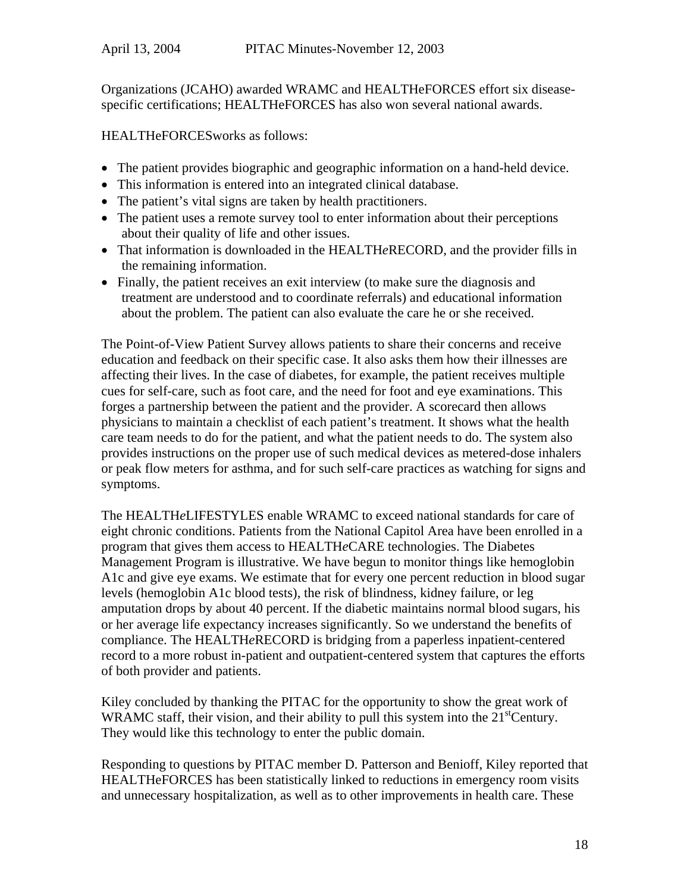Organizations (JCAHO) awarded WRAMC and HEALTHeFORCES effort six diseasespecific certifications; HEALTHeFORCES has also won several national awards.

HEALTHeFORCESworks as follows:

- The patient provides biographic and geographic information on a hand-held device.
- This information is entered into an integrated clinical database.
- The patient's vital signs are taken by health practitioners.
- The patient uses a remote survey tool to enter information about their perceptions about their quality of life and other issues.
- That information is downloaded in the HEALTHeRECORD, and the provider fills in the remaining information.
- Finally, the patient receives an exit interview (to make sure the diagnosis and treatment are understood and to coordinate referrals) and educational information about the problem. The patient can also evaluate the care he or she received.

The Point-of-View Patient Survey allows patients to share their concerns and receive education and feedback on their specific case. It also asks them how their illnesses are affecting their lives. In the case of diabetes, for example, the patient receives multiple cues for self-care, such as foot care, and the need for foot and eye examinations. This forges a partnership between the patient and the provider. A scorecard then allows physicians to maintain a checklist of each patient's treatment. It shows what the health care team needs to do for the patient, and what the patient needs to do. The system also provides instructions on the proper use of such medical devices as metered-dose inhalers or peak flow meters for asthma, and for such self-care practices as watching for signs and symptoms.

The HEALTH*e*LIFESTYLES enable WRAMC to exceed national standards for care of eight chronic conditions. Patients from the National Capitol Area have been enrolled in a program that gives them access to HEALTH*e*CARE technologies. The Diabetes Management Program is illustrative. We have begun to monitor things like hemoglobin A1c and give eye exams. We estimate that for every one percent reduction in blood sugar levels (hemoglobin A1c blood tests), the risk of blindness, kidney failure, or leg amputation drops by about 40 percent. If the diabetic maintains normal blood sugars, his or her average life expectancy increases significantly. So we understand the benefits of compliance. The HEALTH*e*RECORD is bridging from a paperless inpatient-centered record to a more robust in-patient and outpatient-centered system that captures the efforts of both provider and patients.

Kiley concluded by thanking the PITAC for the opportunity to show the great work of WRAMC staff, their vision, and their ability to pull this system into the  $21<sup>st</sup>$ Century. They would like this technology to enter the public domain.

Responding to questions by PITAC member D. Patterson and Benioff, Kiley reported that HEALTHeFORCES has been statistically linked to reductions in emergency room visits and unnecessary hospitalization, as well as to other improvements in health care. These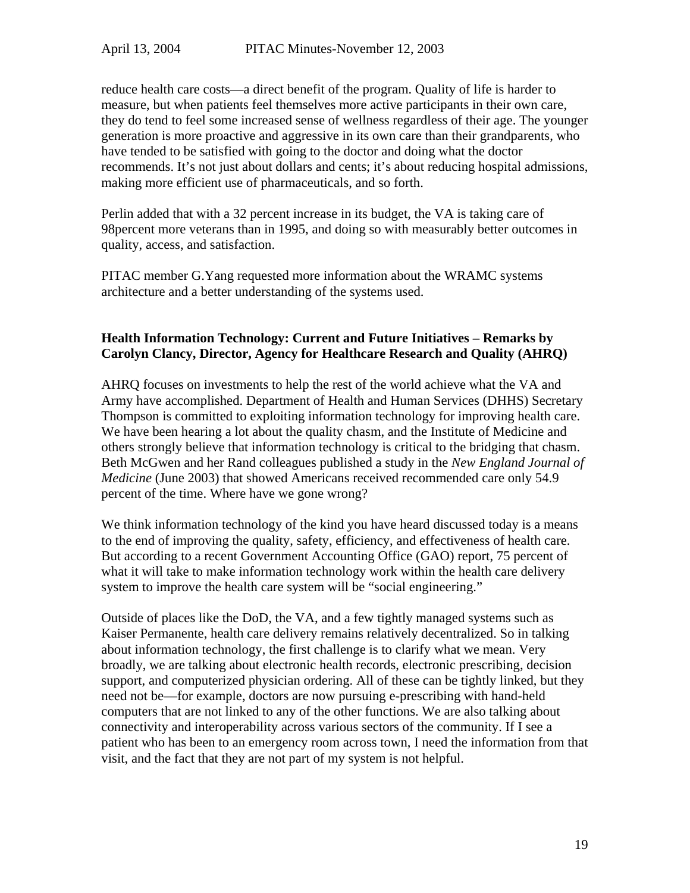reduce health care costs—a direct benefit of the program. Quality of life is harder to measure, but when patients feel themselves more active participants in their own care, they do tend to feel some increased sense of wellness regardless of their age. The younger generation is more proactive and aggressive in its own care than their grandparents, who have tended to be satisfied with going to the doctor and doing what the doctor recommends. It's not just about dollars and cents; it's about reducing hospital admissions, making more efficient use of pharmaceuticals, and so forth.

Perlin added that with a 32 percent increase in its budget, the VA is taking care of 98percent more veterans than in 1995, and doing so with measurably better outcomes in quality, access, and satisfaction.

PITAC member G.Yang requested more information about the WRAMC systems architecture and a better understanding of the systems used.

# **Health Information Technology: Current and Future Initiatives – Remarks by Carolyn Clancy, Director, Agency for Healthcare Research and Quality (AHRQ)**

AHRQ focuses on investments to help the rest of the world achieve what the VA and Army have accomplished. Department of Health and Human Services (DHHS) Secretary Thompson is committed to exploiting information technology for improving health care. We have been hearing a lot about the quality chasm, and the Institute of Medicine and others strongly believe that information technology is critical to the bridging that chasm. Beth McGwen and her Rand colleagues published a study in the *New England Journal of Medicine* (June 2003) that showed Americans received recommended care only 54.9 percent of the time. Where have we gone wrong?

We think information technology of the kind you have heard discussed today is a means to the end of improving the quality, safety, efficiency, and effectiveness of health care. But according to a recent Government Accounting Office (GAO) report, 75 percent of what it will take to make information technology work within the health care delivery system to improve the health care system will be "social engineering."

Outside of places like the DoD, the VA, and a few tightly managed systems such as Kaiser Permanente, health care delivery remains relatively decentralized. So in talking about information technology, the first challenge is to clarify what we mean. Very broadly, we are talking about electronic health records, electronic prescribing, decision support, and computerized physician ordering. All of these can be tightly linked, but they need not be—for example, doctors are now pursuing e-prescribing with hand-held computers that are not linked to any of the other functions. We are also talking about connectivity and interoperability across various sectors of the community. If I see a patient who has been to an emergency room across town, I need the information from that visit, and the fact that they are not part of my system is not helpful.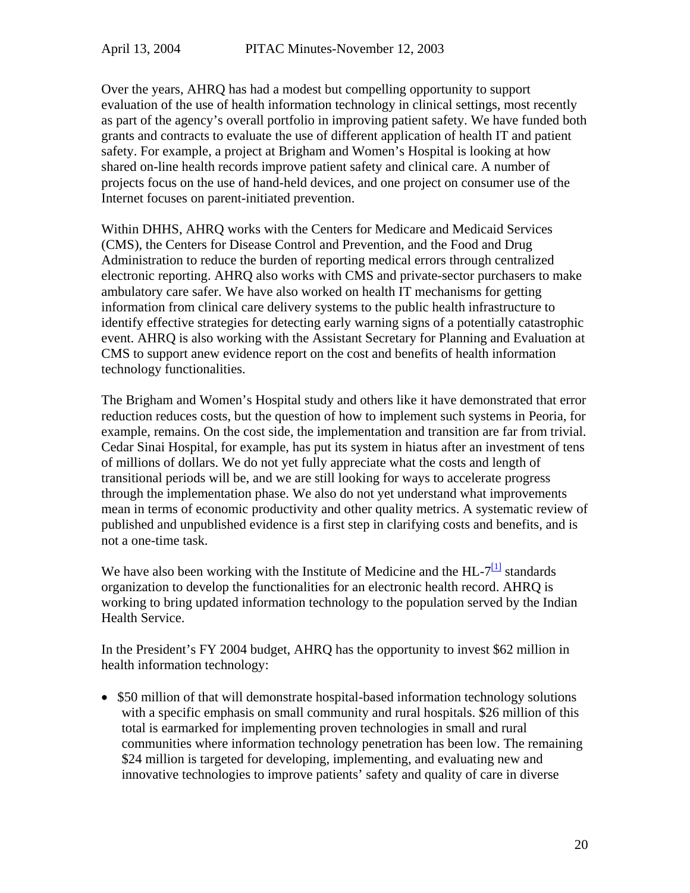Over the years, AHRQ has had a modest but compelling opportunity to support evaluation of the use of health information technology in clinical settings, most recently as part of the agency's overall portfolio in improving patient safety. We have funded both grants and contracts to evaluate the use of different application of health IT and patient safety. For example, a project at Brigham and Women's Hospital is looking at how shared on-line health records improve patient safety and clinical care. A number of projects focus on the use of hand-held devices, and one project on consumer use of the Internet focuses on parent-initiated prevention.

Within DHHS, AHRQ works with the Centers for Medicare and Medicaid Services (CMS), the Centers for Disease Control and Prevention, and the Food and Drug Administration to reduce the burden of reporting medical errors through centralized electronic reporting. AHRQ also works with CMS and private-sector purchasers to make ambulatory care safer. We have also worked on health IT mechanisms for getting information from clinical care delivery systems to the public health infrastructure to identify effective strategies for detecting early warning signs of a potentially catastrophic event. AHRQ is also working with the Assistant Secretary for Planning and Evaluation at CMS to support anew evidence report on the cost and benefits of health information technology functionalities.

The Brigham and Women's Hospital study and others like it have demonstrated that error reduction reduces costs, but the question of how to implement such systems in Peoria, for example, remains. On the cost side, the implementation and transition are far from trivial. Cedar Sinai Hospital, for example, has put its system in hiatus after an investment of tens of millions of dollars. We do not yet fully appreciate what the costs and length of transitional periods will be, and we are still looking for ways to accelerate progress through the implementation phase. We also do not yet understand what improvements mean in terms of economic productivity and other quality metrics. A systematic review of published and unpublished evidence is a first step in clarifying costs and benefits, and is not a one-time task.

We have also been working with the Institute of Medicine and the  $HL$ -7 $\frac{11}{11}$  standards organization to develop the functionalities for an electronic health record. AHRQ is working to bring updated information technology to the population served by the Indian Health Service.

In the President's FY 2004 budget, AHRQ has the opportunity to invest \$62 million in health information technology:

• \$50 million of that will demonstrate hospital-based information technology solutions with a specific emphasis on small community and rural hospitals. \$26 million of this total is earmarked for implementing proven technologies in small and rural communities where information technology penetration has been low. The remaining \$24 million is targeted for developing, implementing, and evaluating new and innovative technologies to improve patients' safety and quality of care in diverse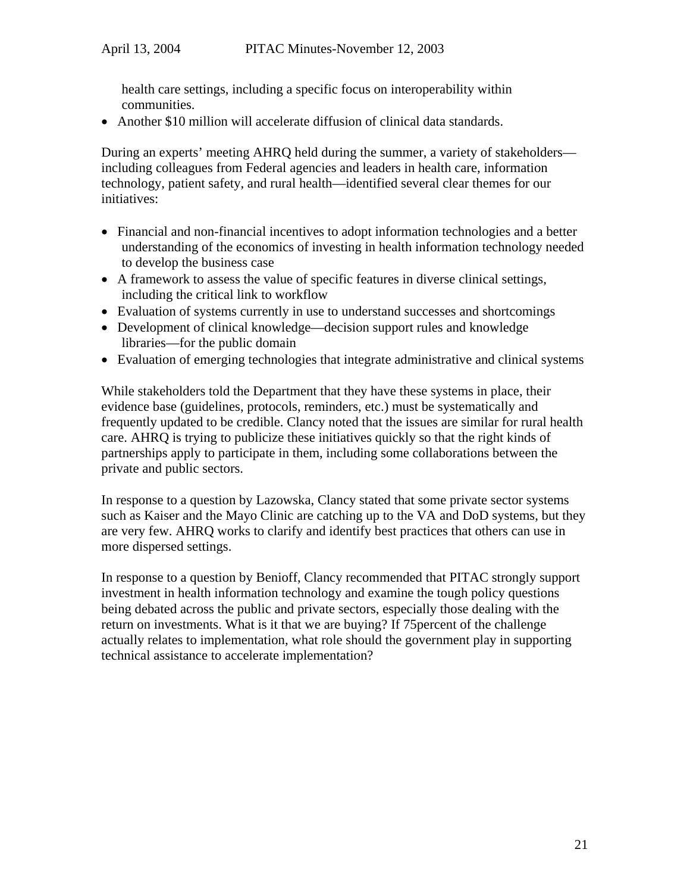health care settings, including a specific focus on interoperability within communities.

• Another \$10 million will accelerate diffusion of clinical data standards.

During an experts' meeting AHRQ held during the summer, a variety of stakeholders including colleagues from Federal agencies and leaders in health care, information technology, patient safety, and rural health—identified several clear themes for our initiatives:

- Financial and non-financial incentives to adopt information technologies and a better understanding of the economics of investing in health information technology needed to develop the business case
- A framework to assess the value of specific features in diverse clinical settings, including the critical link to workflow
- Evaluation of systems currently in use to understand successes and shortcomings
- Development of clinical knowledge—decision support rules and knowledge libraries—for the public domain
- Evaluation of emerging technologies that integrate administrative and clinical systems

While stakeholders told the Department that they have these systems in place, their evidence base (guidelines, protocols, reminders, etc.) must be systematically and frequently updated to be credible. Clancy noted that the issues are similar for rural health care. AHRQ is trying to publicize these initiatives quickly so that the right kinds of partnerships apply to participate in them, including some collaborations between the private and public sectors.

In response to a question by Lazowska, Clancy stated that some private sector systems such as Kaiser and the Mayo Clinic are catching up to the VA and DoD systems, but they are very few. AHRQ works to clarify and identify best practices that others can use in more dispersed settings.

In response to a question by Benioff, Clancy recommended that PITAC strongly support investment in health information technology and examine the tough policy questions being debated across the public and private sectors, especially those dealing with the return on investments. What is it that we are buying? If 75percent of the challenge actually relates to implementation, what role should the government play in supporting technical assistance to accelerate implementation?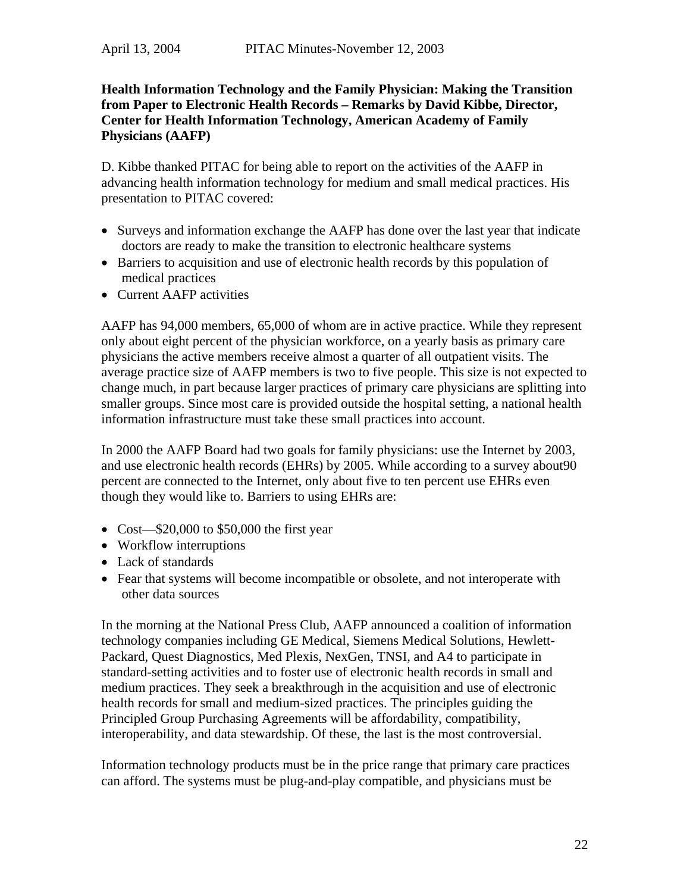# **Health Information Technology and the Family Physician: Making the Transition from Paper to Electronic Health Records – Remarks by David Kibbe, Director, Center for Health Information Technology, American Academy of Family Physicians (AAFP)**

D. Kibbe thanked PITAC for being able to report on the activities of the AAFP in advancing health information technology for medium and small medical practices. His presentation to PITAC covered:

- Surveys and information exchange the AAFP has done over the last year that indicate doctors are ready to make the transition to electronic healthcare systems
- Barriers to acquisition and use of electronic health records by this population of medical practices
- Current AAFP activities

AAFP has 94,000 members, 65,000 of whom are in active practice. While they represent only about eight percent of the physician workforce, on a yearly basis as primary care physicians the active members receive almost a quarter of all outpatient visits. The average practice size of AAFP members is two to five people. This size is not expected to change much, in part because larger practices of primary care physicians are splitting into smaller groups. Since most care is provided outside the hospital setting, a national health information infrastructure must take these small practices into account.

In 2000 the AAFP Board had two goals for family physicians: use the Internet by 2003, and use electronic health records (EHRs) by 2005. While according to a survey about90 percent are connected to the Internet, only about five to ten percent use EHRs even though they would like to. Barriers to using EHRs are:

- Cost—\$20,000 to \$50,000 the first year
- Workflow interruptions
- Lack of standards
- Fear that systems will become incompatible or obsolete, and not interoperate with other data sources

In the morning at the National Press Club, AAFP announced a coalition of information technology companies including GE Medical, Siemens Medical Solutions, Hewlett-Packard, Quest Diagnostics, Med Plexis, NexGen, TNSI, and A4 to participate in standard-setting activities and to foster use of electronic health records in small and medium practices. They seek a breakthrough in the acquisition and use of electronic health records for small and medium-sized practices. The principles guiding the Principled Group Purchasing Agreements will be affordability, compatibility, interoperability, and data stewardship. Of these, the last is the most controversial.

Information technology products must be in the price range that primary care practices can afford. The systems must be plug-and-play compatible, and physicians must be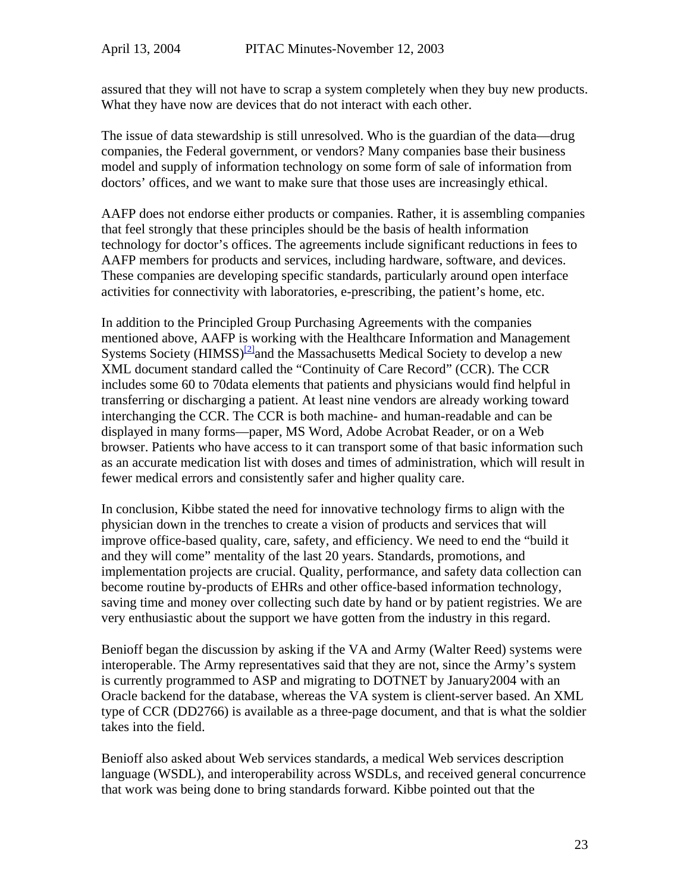assured that they will not have to scrap a system completely when they buy new products. What they have now are devices that do not interact with each other.

The issue of data stewardship is still unresolved. Who is the guardian of the data—drug companies, the Federal government, or vendors? Many companies base their business model and supply of information technology on some form of sale of information from doctors' offices, and we want to make sure that those uses are increasingly ethical.

AAFP does not endorse either products or companies. Rather, it is assembling companies that feel strongly that these principles should be the basis of health information technology for doctor's offices. The agreements include significant reductions in fees to AAFP members for products and services, including hardware, software, and devices. These companies are developing specific standards, particularly around open interface activities for connectivity with laboratories, e-prescribing, the patient's home, etc.

In addition to the Principled Group Purchasing Agreements with the companies mentioned above, AAFP is working with the Healthcare Information and Management Systems Society ( $\text{HIMSS}$ )<sup>[2]</sup>and the Massachusetts Medical Society to develop a new XML document standard called the "Continuity of Care Record" (CCR). The CCR includes some 60 to 70data elements that patients and physicians would find helpful in transferring or discharging a patient. At least nine vendors are already working toward interchanging the CCR. The CCR is both machine- and human-readable and can be displayed in many forms—paper, MS Word, Adobe Acrobat Reader, or on a Web browser. Patients who have access to it can transport some of that basic information such as an accurate medication list with doses and times of administration, which will result in fewer medical errors and consistently safer and higher quality care.

In conclusion, Kibbe stated the need for innovative technology firms to align with the physician down in the trenches to create a vision of products and services that will improve office-based quality, care, safety, and efficiency. We need to end the "build it and they will come" mentality of the last 20 years. Standards, promotions, and implementation projects are crucial. Quality, performance, and safety data collection can become routine by-products of EHRs and other office-based information technology, saving time and money over collecting such date by hand or by patient registries. We are very enthusiastic about the support we have gotten from the industry in this regard.

Benioff began the discussion by asking if the VA and Army (Walter Reed) systems were interoperable. The Army representatives said that they are not, since the Army's system is currently programmed to ASP and migrating to DOTNET by January2004 with an Oracle backend for the database, whereas the VA system is client-server based. An XML type of CCR (DD2766) is available as a three-page document, and that is what the soldier takes into the field.

Benioff also asked about Web services standards, a medical Web services description language (WSDL), and interoperability across WSDLs, and received general concurrence that work was being done to bring standards forward. Kibbe pointed out that the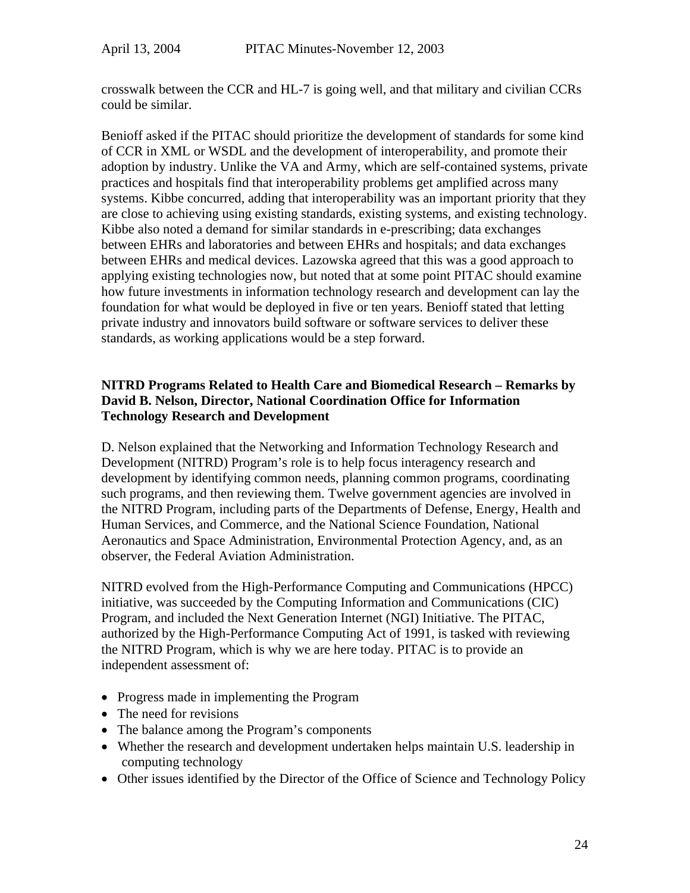crosswalk between the CCR and HL-7 is going well, and that military and civilian CCRs could be similar.

Benioff asked if the PITAC should prioritize the development of standards for some kind of CCR in XML or WSDL and the development of interoperability, and promote their adoption by industry. Unlike the VA and Army, which are self-contained systems, private practices and hospitals find that interoperability problems get amplified across many systems. Kibbe concurred, adding that interoperability was an important priority that they are close to achieving using existing standards, existing systems, and existing technology. Kibbe also noted a demand for similar standards in e-prescribing; data exchanges between EHRs and laboratories and between EHRs and hospitals; and data exchanges between EHRs and medical devices. Lazowska agreed that this was a good approach to applying existing technologies now, but noted that at some point PITAC should examine how future investments in information technology research and development can lay the foundation for what would be deployed in five or ten years. Benioff stated that letting private industry and innovators build software or software services to deliver these standards, as working applications would be a step forward.

# **NITRD Programs Related to Health Care and Biomedical Research – Remarks by David B. Nelson, Director, National Coordination Office for Information Technology Research and Development**

D. Nelson explained that the Networking and Information Technology Research and Development (NITRD) Program's role is to help focus interagency research and development by identifying common needs, planning common programs, coordinating such programs, and then reviewing them. Twelve government agencies are involved in the NITRD Program, including parts of the Departments of Defense, Energy, Health and Human Services, and Commerce, and the National Science Foundation, National Aeronautics and Space Administration, Environmental Protection Agency, and, as an observer, the Federal Aviation Administration.

NITRD evolved from the High-Performance Computing and Communications (HPCC) initiative, was succeeded by the Computing Information and Communications (CIC) Program, and included the Next Generation Internet (NGI) Initiative. The PITAC, authorized by the High-Performance Computing Act of 1991, is tasked with reviewing the NITRD Program, which is why we are here today. PITAC is to provide an independent assessment of:

- Progress made in implementing the Program
- The need for revisions
- The balance among the Program's components
- Whether the research and development undertaken helps maintain U.S. leadership in computing technology
- Other issues identified by the Director of the Office of Science and Technology Policy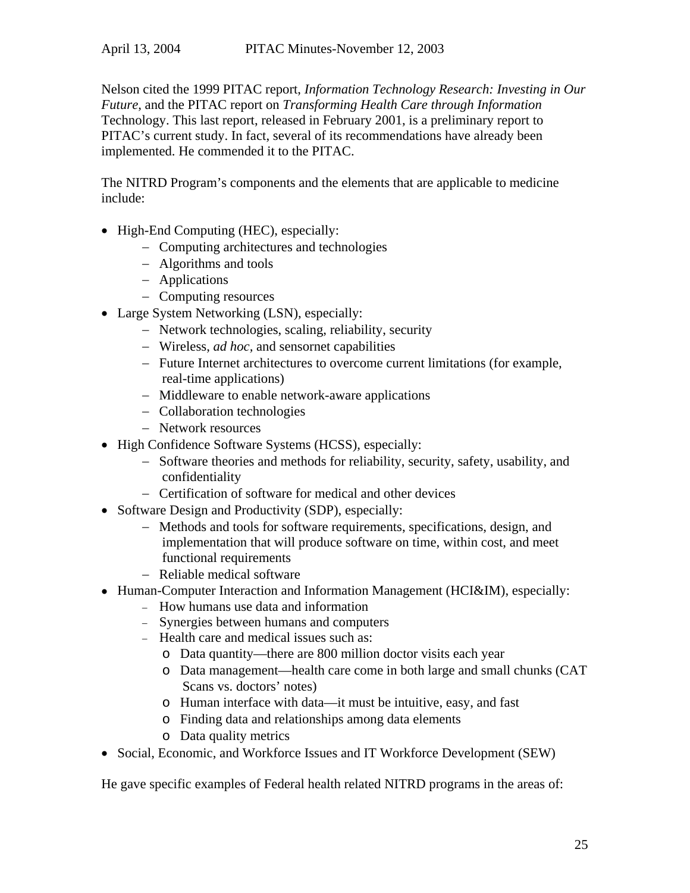Nelson cited the 1999 PITAC report, *Information Technology Research: Investing in Our Future*, and the PITAC report on *Transforming Health Care through Information* Technology. This last report, released in February 2001, is a preliminary report to PITAC's current study. In fact, several of its recommendations have already been implemented. He commended it to the PITAC.

The NITRD Program's components and the elements that are applicable to medicine include:

- High-End Computing (HEC), especially:
	- − Computing architectures and technologies
	- − Algorithms and tools
	- − Applications
	- − Computing resources
- Large System Networking (LSN), especially:
	- − Network technologies, scaling, reliability, security
	- − Wireless, *ad hoc,* and sensornet capabilities
	- − Future Internet architectures to overcome current limitations (for example, real-time applications)
	- − Middleware to enable network-aware applications
	- − Collaboration technologies
	- − Network resources
- High Confidence Software Systems (HCSS), especially:
	- − Software theories and methods for reliability, security, safety, usability, and confidentiality
	- − Certification of software for medical and other devices
- Software Design and Productivity (SDP), especially:
	- − Methods and tools for software requirements, specifications, design, and implementation that will produce software on time, within cost, and meet functional requirements
	- − Reliable medical software
- Human-Computer Interaction and Information Management (HCI&IM), especially:
	- − How humans use data and information
	- − Synergies between humans and computers
	- − Health care and medical issues such as:
		- o Data quantity—there are 800 million doctor visits each year
		- o Data management—health care come in both large and small chunks (CAT Scans vs. doctors' notes)
		- o Human interface with data—it must be intuitive, easy, and fast
		- o Finding data and relationships among data elements
		- o Data quality metrics
- Social, Economic, and Workforce Issues and IT Workforce Development (SEW)

He gave specific examples of Federal health related NITRD programs in the areas of: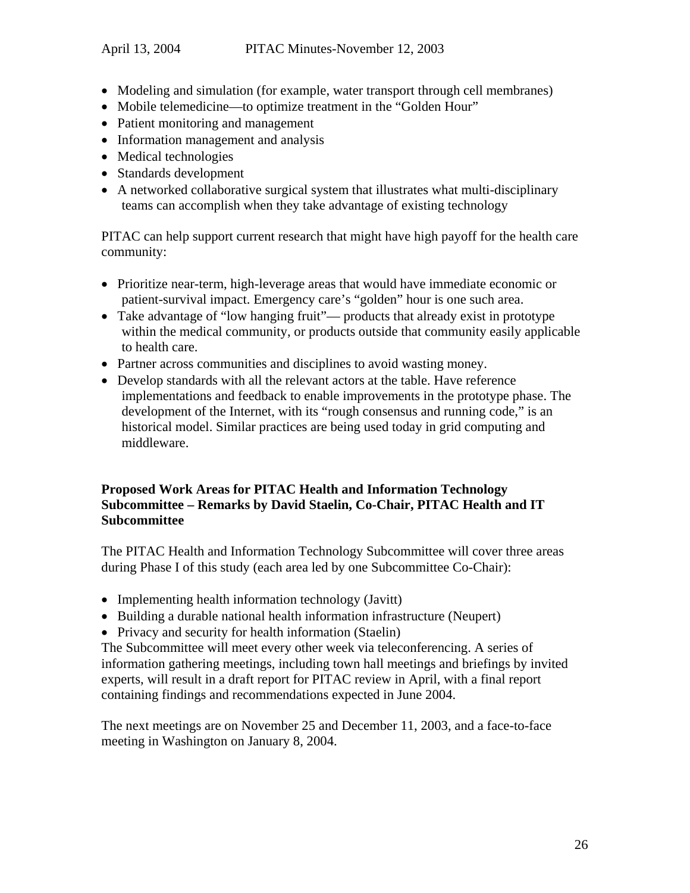- Modeling and simulation (for example, water transport through cell membranes)
- Mobile telemedicine—to optimize treatment in the "Golden Hour"
- Patient monitoring and management
- Information management and analysis
- Medical technologies
- Standards development
- A networked collaborative surgical system that illustrates what multi-disciplinary teams can accomplish when they take advantage of existing technology

PITAC can help support current research that might have high payoff for the health care community:

- Prioritize near-term, high-leverage areas that would have immediate economic or patient-survival impact. Emergency care's "golden" hour is one such area.
- Take advantage of "low hanging fruit"— products that already exist in prototype within the medical community, or products outside that community easily applicable to health care.
- Partner across communities and disciplines to avoid wasting money.
- Develop standards with all the relevant actors at the table. Have reference implementations and feedback to enable improvements in the prototype phase. The development of the Internet, with its "rough consensus and running code," is an historical model. Similar practices are being used today in grid computing and middleware.

### **Proposed Work Areas for PITAC Health and Information Technology Subcommittee – Remarks by David Staelin, Co-Chair, PITAC Health and IT Subcommittee**

The PITAC Health and Information Technology Subcommittee will cover three areas during Phase I of this study (each area led by one Subcommittee Co-Chair):

- Implementing health information technology (Javitt)
- Building a durable national health information infrastructure (Neupert)
- Privacy and security for health information (Staelin)

The Subcommittee will meet every other week via teleconferencing. A series of information gathering meetings, including town hall meetings and briefings by invited experts, will result in a draft report for PITAC review in April, with a final report containing findings and recommendations expected in June 2004.

The next meetings are on November 25 and December 11, 2003, and a face-to-face meeting in Washington on January 8, 2004.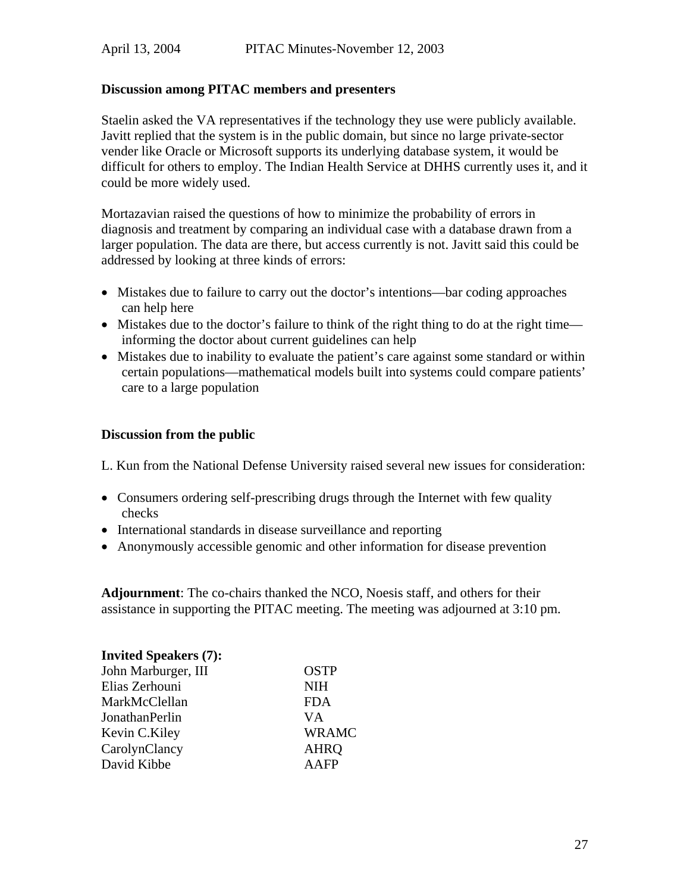#### **Discussion among PITAC members and presenters**

Staelin asked the VA representatives if the technology they use were publicly available. Javitt replied that the system is in the public domain, but since no large private-sector vender like Oracle or Microsoft supports its underlying database system, it would be difficult for others to employ. The Indian Health Service at DHHS currently uses it, and it could be more widely used.

Mortazavian raised the questions of how to minimize the probability of errors in diagnosis and treatment by comparing an individual case with a database drawn from a larger population. The data are there, but access currently is not. Javitt said this could be addressed by looking at three kinds of errors:

- Mistakes due to failure to carry out the doctor's intentions—bar coding approaches can help here
- Mistakes due to the doctor's failure to think of the right thing to do at the right time informing the doctor about current guidelines can help
- Mistakes due to inability to evaluate the patient's care against some standard or within certain populations—mathematical models built into systems could compare patients' care to a large population

### **Discussion from the public**

L. Kun from the National Defense University raised several new issues for consideration:

- Consumers ordering self-prescribing drugs through the Internet with few quality checks
- International standards in disease surveillance and reporting
- Anonymously accessible genomic and other information for disease prevention

**Adjournment**: The co-chairs thanked the NCO, Noesis staff, and others for their assistance in supporting the PITAC meeting. The meeting was adjourned at 3:10 pm.

| <b>Invited Speakers (7):</b> |              |
|------------------------------|--------------|
| John Marburger, III          | <b>OSTP</b>  |
| Elias Zerhouni               | <b>NIH</b>   |
| MarkMcClellan                | <b>FDA</b>   |
| JonathanPerlin               | V A          |
| Kevin C.Kiley                | <b>WRAMC</b> |
| CarolynClancy                | <b>AHRQ</b>  |
| David Kibbe                  |              |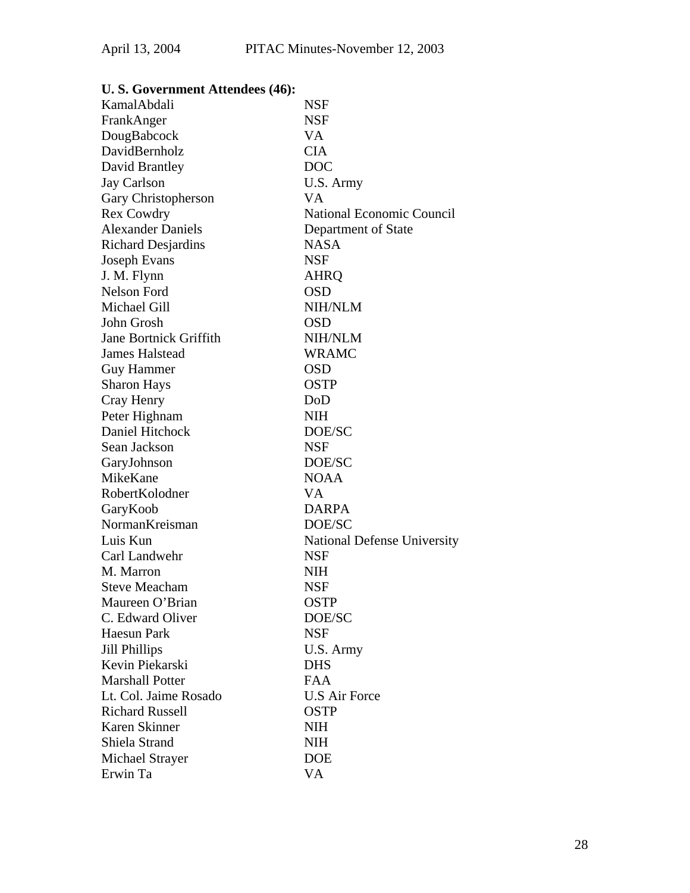| U.S. Government Attendees (46): |
|---------------------------------|
|---------------------------------|

| KamalAbdali                   | <b>NSF</b>                         |
|-------------------------------|------------------------------------|
| FrankAnger                    | <b>NSF</b>                         |
| DougBabcock                   | VA                                 |
| DavidBernholz                 | <b>CIA</b>                         |
| David Brantley                | <b>DOC</b>                         |
| Jay Carlson                   | U.S. Army                          |
| Gary Christopherson           | VA.                                |
| <b>Rex Cowdry</b>             | <b>National Economic Council</b>   |
| <b>Alexander Daniels</b>      | Department of State                |
| Richard Desjardins            | <b>NASA</b>                        |
| <b>Joseph Evans</b>           | <b>NSF</b>                         |
| J. M. Flynn                   | <b>AHRQ</b>                        |
| Nelson Ford                   | <b>OSD</b>                         |
| Michael Gill                  | NIH/NLM                            |
| John Grosh                    | <b>OSD</b>                         |
| <b>Jane Bortnick Griffith</b> | NIH/NLM                            |
| <b>James Halstead</b>         | <b>WRAMC</b>                       |
| <b>Guy Hammer</b>             | <b>OSD</b>                         |
| <b>Sharon Hays</b>            | <b>OSTP</b>                        |
| Cray Henry                    | DoD                                |
| Peter Highnam                 | <b>NIH</b>                         |
| Daniel Hitchock               | DOE/SC                             |
| Sean Jackson                  | <b>NSF</b>                         |
| GaryJohnson                   | DOE/SC                             |
| MikeKane                      | <b>NOAA</b>                        |
| RobertKolodner                | VA                                 |
| GaryKoob                      | <b>DARPA</b>                       |
| NormanKreisman                | DOE/SC                             |
| Luis Kun                      | <b>National Defense University</b> |
| Carl Landwehr                 | <b>NSF</b>                         |
| M. Marron                     | <b>NIH</b>                         |
| <b>Steve Meacham</b>          | <b>NSF</b>                         |
| Maureen O'Brian               | <b>OSTP</b>                        |
| C. Edward Oliver              | DOE/SC                             |
| <b>Haesun Park</b>            | <b>NSF</b>                         |
| <b>Jill Phillips</b>          | U.S. Army                          |
| Kevin Piekarski               | <b>DHS</b>                         |
| <b>Marshall Potter</b>        | <b>FAA</b>                         |
| Lt. Col. Jaime Rosado         | <b>U.S Air Force</b>               |
| <b>Richard Russell</b>        | <b>OSTP</b>                        |
| Karen Skinner                 | <b>NIH</b>                         |
| Shiela Strand                 | <b>NIH</b>                         |
| Michael Strayer               | <b>DOE</b>                         |
| Erwin Ta                      | VA                                 |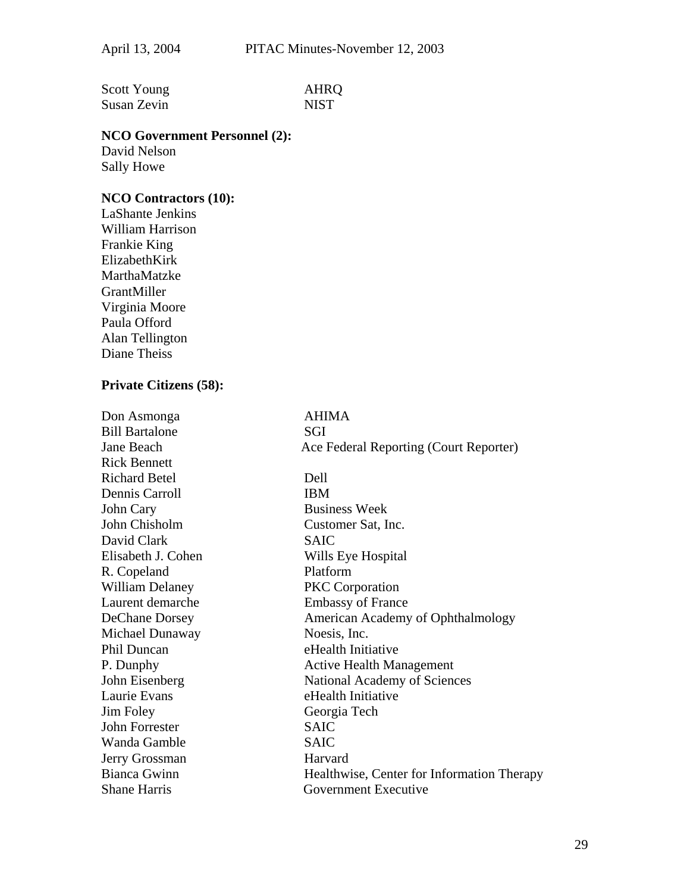| Scott Young | AHRO        |
|-------------|-------------|
| Susan Zevin | <b>NIST</b> |

### **NCO Government Personnel (2):**

David Nelson Sally Howe

# **NCO Contractors (10):**

LaShante Jenkins William Harrison Frankie King ElizabethKirk MarthaMatzke GrantMiller Virginia Moore Paula Offord Alan Tellington Diane Theiss

# **Private Citizens (58):**

| Don Asmonga            | <b>AHIMA</b>                               |
|------------------------|--------------------------------------------|
| <b>Bill Bartalone</b>  | SGI                                        |
| Jane Beach             | Ace Federal Reporting (Court Reporter)     |
| <b>Rick Bennett</b>    |                                            |
| <b>Richard Betel</b>   | Dell                                       |
| Dennis Carroll         | <b>IBM</b>                                 |
| John Cary              | <b>Business Week</b>                       |
| John Chisholm          | Customer Sat, Inc.                         |
| David Clark            | <b>SAIC</b>                                |
| Elisabeth J. Cohen     | Wills Eye Hospital                         |
| R. Copeland            | Platform                                   |
| <b>William Delaney</b> | <b>PKC</b> Corporation                     |
| Laurent demarche       | <b>Embassy of France</b>                   |
| <b>DeChane Dorsey</b>  | <b>American Academy of Ophthalmology</b>   |
| Michael Dunaway        | Noesis, Inc.                               |
| Phil Duncan            | eHealth Initiative                         |
| P. Dunphy              | <b>Active Health Management</b>            |
| John Eisenberg         | National Academy of Sciences               |
| Laurie Evans           | eHealth Initiative                         |
| Jim Foley              | Georgia Tech                               |
| John Forrester         | <b>SAIC</b>                                |
| Wanda Gamble           | <b>SAIC</b>                                |
| Jerry Grossman         | Harvard                                    |
| <b>Bianca Gwinn</b>    | Healthwise, Center for Information Therapy |
| <b>Shane Harris</b>    | <b>Government Executive</b>                |
|                        |                                            |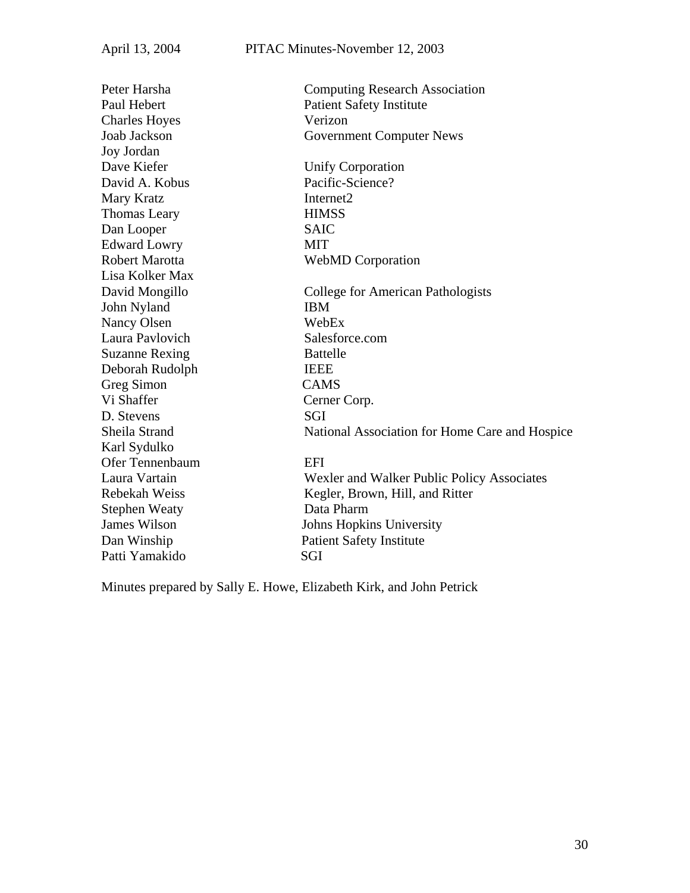| Peter Harsha          | <b>Computing Research Association</b>          |
|-----------------------|------------------------------------------------|
| Paul Hebert           | <b>Patient Safety Institute</b>                |
| <b>Charles Hoyes</b>  | Verizon                                        |
| <b>Joab Jackson</b>   | <b>Government Computer News</b>                |
| <b>Joy Jordan</b>     |                                                |
| Dave Kiefer           | <b>Unify Corporation</b>                       |
| David A. Kobus        | Pacific-Science?                               |
| Mary Kratz            | Internet <sub>2</sub>                          |
| <b>Thomas Leary</b>   | <b>HIMSS</b>                                   |
| Dan Looper            | <b>SAIC</b>                                    |
| <b>Edward Lowry</b>   | <b>MIT</b>                                     |
| <b>Robert Marotta</b> | <b>WebMD</b> Corporation                       |
| Lisa Kolker Max       |                                                |
| David Mongillo        | <b>College for American Pathologists</b>       |
| John Nyland           | <b>IBM</b>                                     |
| Nancy Olsen           | WebEx                                          |
| Laura Pavlovich       | Salesforce.com                                 |
| <b>Suzanne Rexing</b> | <b>Battelle</b>                                |
| Deborah Rudolph       | <b>IEEE</b>                                    |
| <b>Greg Simon</b>     | <b>CAMS</b>                                    |
| Vi Shaffer            | Cerner Corp.                                   |
| D. Stevens            | <b>SGI</b>                                     |
| Sheila Strand         | National Association for Home Care and Hospice |
| Karl Sydulko          |                                                |
| Ofer Tennenbaum       | EFI                                            |
| Laura Vartain         | Wexler and Walker Public Policy Associates     |
| Rebekah Weiss         | Kegler, Brown, Hill, and Ritter                |
| <b>Stephen Weaty</b>  | Data Pharm                                     |
| <b>James Wilson</b>   | Johns Hopkins University                       |
| Dan Winship           | <b>Patient Safety Institute</b>                |
| Patti Yamakido        | SGI                                            |

Minutes prepared by Sally E. Howe, Elizabeth Kirk, and John Petrick